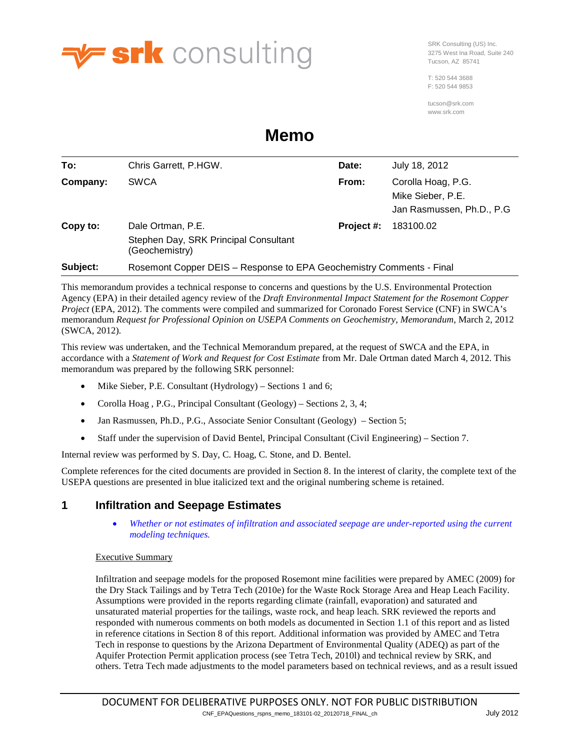

SRK Consulting (US) Inc. 3275 West Ina Road, Suite 240 Tucson, AZ 85741

T: 520 544 3688 F: 520 544 9853

tucson@srk.com www.srk.com

# **Memo**

| To:      | Chris Garrett, P.HGW.                                                        | Date:      | July 18, 2012                                                         |
|----------|------------------------------------------------------------------------------|------------|-----------------------------------------------------------------------|
| Company: | <b>SWCA</b>                                                                  | From:      | Corolla Hoag, P.G.<br>Mike Sieber, P.E.<br>Jan Rasmussen, Ph.D., P.G. |
| Copy to: | Dale Ortman, P.E.<br>Stephen Day, SRK Principal Consultant<br>(Geochemistry) | Project #: | 183100.02                                                             |
| Subject: | Rosemont Copper DEIS - Response to EPA Geochemistry Comments - Final         |            |                                                                       |

This memorandum provides a technical response to concerns and questions by the U.S. Environmental Protection Agency (EPA) in their detailed agency review of the *Draft Environmental Impact Statement for the Rosemont Copper Project* (EPA, 2012). The comments were compiled and summarized for Coronado Forest Service (CNF) in SWCA's memorandum *Request for Professional Opinion on USEPA Comments on Geochemistry, Memorandum*, March 2, 2012 (SWCA, 2012).

This review was undertaken, and the Technical Memorandum prepared, at the request of SWCA and the EPA, in accordance with a *Statement of Work and Request for Cost Estimate* from Mr. Dale Ortman dated March 4, 2012. This memorandum was prepared by the following SRK personnel:

- Mike Sieber, P.E. Consultant (Hydrology) Sections 1 and 6;
- Corolla Hoag, P.G., Principal Consultant (Geology) Sections 2, 3, 4;
- Jan Rasmussen, Ph.D., P.G., Associate Senior Consultant (Geology) Section 5;
- Staff under the supervision of David Bentel, Principal Consultant (Civil Engineering) Section 7.

Internal review was performed by S. Day, C. Hoag, C. Stone, and D. Bentel.

Complete references for the cited documents are provided in Section [8.](#page-28-0) In the interest of clarity, the complete text of the USEPA questions are presented in blue italicized text and the original numbering scheme is retained.

# **1 Infiltration and Seepage Estimates**

• *Whether or not estimates of infiltration and associated seepage are under-reported using the current modeling techniques.*

#### Executive Summary

Infiltration and seepage models for the proposed Rosemont mine facilities were prepared by AMEC (2009) for the Dry Stack Tailings and by Tetra Tech (2010e) for the Waste Rock Storage Area and Heap Leach Facility. Assumptions were provided in the reports regarding climate (rainfall, evaporation) and saturated and unsaturated material properties for the tailings, waste rock, and heap leach. SRK reviewed the reports and responded with numerous comments on both models as documented in Section [1.1](#page-1-0) of this report and as listed in reference citations in Section [8](#page-28-0) of this report. Additional information was provided by AMEC and Tetra Tech in response to questions by the Arizona Department of Environmental Quality (ADEQ) as part of the Aquifer Protection Permit application process (see Tetra Tech, 2010l) and technical review by SRK, and others. Tetra Tech made adjustments to the model parameters based on technical reviews, and as a result issued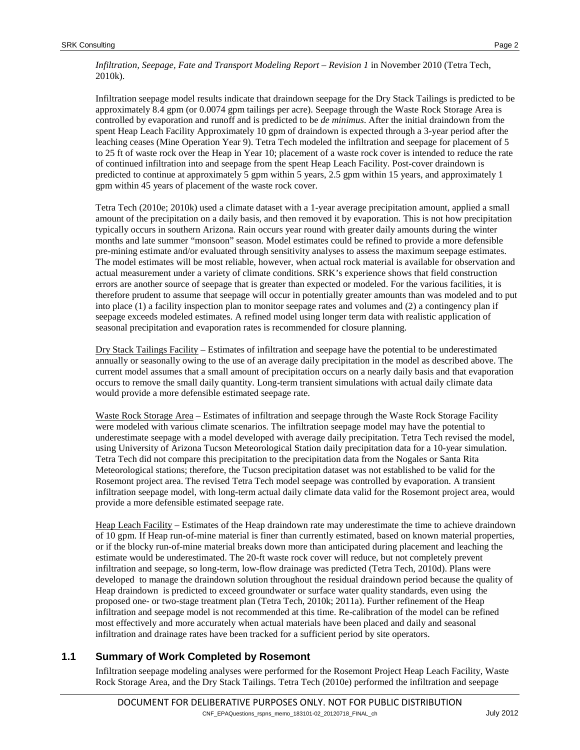*Infiltration, Seepage, Fate and Transport Modeling Report – Revision 1* in November 2010 (Tetra Tech, 2010k).

Infiltration seepage model results indicate that draindown seepage for the Dry Stack Tailings is predicted to be approximately 8.4 gpm (or 0.0074 gpm tailings per acre). Seepage through the Waste Rock Storage Area is controlled by evaporation and runoff and is predicted to be *de minimus*. After the initial draindown from the spent Heap Leach Facility Approximately 10 gpm of draindown is expected through a 3-year period after the leaching ceases (Mine Operation Year 9). Tetra Tech modeled the infiltration and seepage for placement of 5 to 25 ft of waste rock over the Heap in Year 10; placement of a waste rock cover is intended to reduce the rate of continued infiltration into and seepage from the spent Heap Leach Facility. Post-cover draindown is predicted to continue at approximately 5 gpm within 5 years, 2.5 gpm within 15 years, and approximately 1 gpm within 45 years of placement of the waste rock cover.

Tetra Tech (2010e; 2010k) used a climate dataset with a 1-year average precipitation amount, applied a small amount of the precipitation on a daily basis, and then removed it by evaporation. This is not how precipitation typically occurs in southern Arizona. Rain occurs year round with greater daily amounts during the winter months and late summer "monsoon" season. Model estimates could be refined to provide a more defensible pre-mining estimate and/or evaluated through sensitivity analyses to assess the maximum seepage estimates. The model estimates will be most reliable, however, when actual rock material is available for observation and actual measurement under a variety of climate conditions. SRK's experience shows that field construction errors are another source of seepage that is greater than expected or modeled. For the various facilities, it is therefore prudent to assume that seepage will occur in potentially greater amounts than was modeled and to put into place (1) a facility inspection plan to monitor seepage rates and volumes and (2) a contingency plan if seepage exceeds modeled estimates. A refined model using longer term data with realistic application of seasonal precipitation and evaporation rates is recommended for closure planning.

Dry Stack Tailings Facility – Estimates of infiltration and seepage have the potential to be underestimated annually or seasonally owing to the use of an average daily precipitation in the model as described above. The current model assumes that a small amount of precipitation occurs on a nearly daily basis and that evaporation occurs to remove the small daily quantity. Long-term transient simulations with actual daily climate data would provide a more defensible estimated seepage rate.

Waste Rock Storage Area – Estimates of infiltration and seepage through the Waste Rock Storage Facility were modeled with various climate scenarios. The infiltration seepage model may have the potential to underestimate seepage with a model developed with average daily precipitation. Tetra Tech revised the model, using University of Arizona Tucson Meteorological Station daily precipitation data for a 10-year simulation. Tetra Tech did not compare this precipitation to the precipitation data from the Nogales or Santa Rita Meteorological stations; therefore, the Tucson precipitation dataset was not established to be valid for the Rosemont project area. The revised Tetra Tech model seepage was controlled by evaporation. A transient infiltration seepage model, with long-term actual daily climate data valid for the Rosemont project area, would provide a more defensible estimated seepage rate.

Heap Leach Facility – Estimates of the Heap draindown rate may underestimate the time to achieve draindown of 10 gpm. If Heap run-of-mine material is finer than currently estimated, based on known material properties, or if the blocky run-of-mine material breaks down more than anticipated during placement and leaching the estimate would be underestimated. The 20-ft waste rock cover will reduce, but not completely prevent infiltration and seepage, so long-term, low-flow drainage was predicted (Tetra Tech, 2010d). Plans were developed to manage the draindown solution throughout the residual draindown period because the quality of Heap draindown is predicted to exceed groundwater or surface water quality standards, even using the proposed one- or two-stage treatment plan (Tetra Tech, 2010k; 2011a). Further refinement of the Heap infiltration and seepage model is not recommended at this time. Re-calibration of the model can be refined most effectively and more accurately when actual materials have been placed and daily and seasonal infiltration and drainage rates have been tracked for a sufficient period by site operators.

#### <span id="page-1-0"></span>**1.1 Summary of Work Completed by Rosemont**

Infiltration seepage modeling analyses were performed for the Rosemont Project Heap Leach Facility, Waste Rock Storage Area, and the Dry Stack Tailings. Tetra Tech (2010e) performed the infiltration and seepage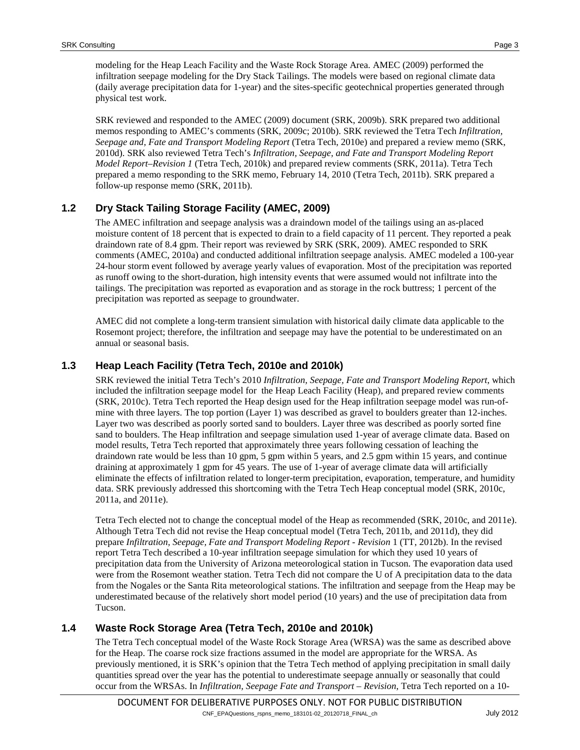modeling for the Heap Leach Facility and the Waste Rock Storage Area. AMEC (2009) performed the infiltration seepage modeling for the Dry Stack Tailings. The models were based on regional climate data (daily average precipitation data for 1-year) and the sites-specific geotechnical properties generated through physical test work.

SRK reviewed and responded to the AMEC (2009) document (SRK, 2009b). SRK prepared two additional memos responding to AMEC's comments (SRK, 2009c; 2010b). SRK reviewed the Tetra Tech *Infiltration, Seepage and, Fate and Transport Modeling Report* (Tetra Tech, 2010e) and prepared a review memo (SRK, 2010d). SRK also reviewed Tetra Tech's *Infiltration, Seepage, and Fate and Transport Modeling Report Model Report–Revision 1* (Tetra Tech, 2010k) and prepared review comments (SRK, 2011a). Tetra Tech prepared a memo responding to the SRK memo, February 14, 2010 (Tetra Tech, 2011b). SRK prepared a follow-up response memo (SRK, 2011b).

# **1.2 Dry Stack Tailing Storage Facility (AMEC, 2009)**

The AMEC infiltration and seepage analysis was a draindown model of the tailings using an as-placed moisture content of 18 percent that is expected to drain to a field capacity of 11 percent. They reported a peak draindown rate of 8.4 gpm. Their report was reviewed by SRK (SRK, 2009). AMEC responded to SRK comments (AMEC, 2010a) and conducted additional infiltration seepage analysis. AMEC modeled a 100-year 24-hour storm event followed by average yearly values of evaporation. Most of the precipitation was reported as runoff owing to the short-duration, high intensity events that were assumed would not infiltrate into the tailings. The precipitation was reported as evaporation and as storage in the rock buttress; 1 percent of the precipitation was reported as seepage to groundwater.

AMEC did not complete a long-term transient simulation with historical daily climate data applicable to the Rosemont project; therefore, the infiltration and seepage may have the potential to be underestimated on an annual or seasonal basis.

### **1.3 Heap Leach Facility (Tetra Tech, 2010e and 2010k)**

SRK reviewed the initial Tetra Tech's 2010 *Infiltration, Seepage, Fate and Transport Modeling Report*, which included the infiltration seepage model for the Heap Leach Facility (Heap), and prepared review comments (SRK, 2010c). Tetra Tech reported the Heap design used for the Heap infiltration seepage model was run-ofmine with three layers. The top portion (Layer 1) was described as gravel to boulders greater than 12-inches. Layer two was described as poorly sorted sand to boulders. Layer three was described as poorly sorted fine sand to boulders. The Heap infiltration and seepage simulation used 1-year of average climate data. Based on model results, Tetra Tech reported that approximately three years following cessation of leaching the draindown rate would be less than 10 gpm, 5 gpm within 5 years, and 2.5 gpm within 15 years, and continue draining at approximately 1 gpm for 45 years. The use of 1-year of average climate data will artificially eliminate the effects of infiltration related to longer-term precipitation, evaporation, temperature, and humidity data. SRK previously addressed this shortcoming with the Tetra Tech Heap conceptual model (SRK, 2010c, 2011a, and 2011e).

Tetra Tech elected not to change the conceptual model of the Heap as recommended (SRK, 2010c, and 2011e). Although Tetra Tech did not revise the Heap conceptual model (Tetra Tech, 2011b, and 2011d), they did prepare *Infiltration, Seepage, Fate and Transport Modeling Report - Revision* 1 (TT, 2012b). In the revised report Tetra Tech described a 10-year infiltration seepage simulation for which they used 10 years of precipitation data from the University of Arizona meteorological station in Tucson. The evaporation data used were from the Rosemont weather station. Tetra Tech did not compare the U of A precipitation data to the data from the Nogales or the Santa Rita meteorological stations. The infiltration and seepage from the Heap may be underestimated because of the relatively short model period (10 years) and the use of precipitation data from Tucson.

# **1.4 Waste Rock Storage Area (Tetra Tech, 2010e and 2010k)**

The Tetra Tech conceptual model of the Waste Rock Storage Area (WRSA) was the same as described above for the Heap. The coarse rock size fractions assumed in the model are appropriate for the WRSA. As previously mentioned, it is SRK's opinion that the Tetra Tech method of applying precipitation in small daily quantities spread over the year has the potential to underestimate seepage annually or seasonally that could occur from the WRSAs. In *Infiltration, Seepage Fate and Transport – Revision*, Tetra Tech reported on a 10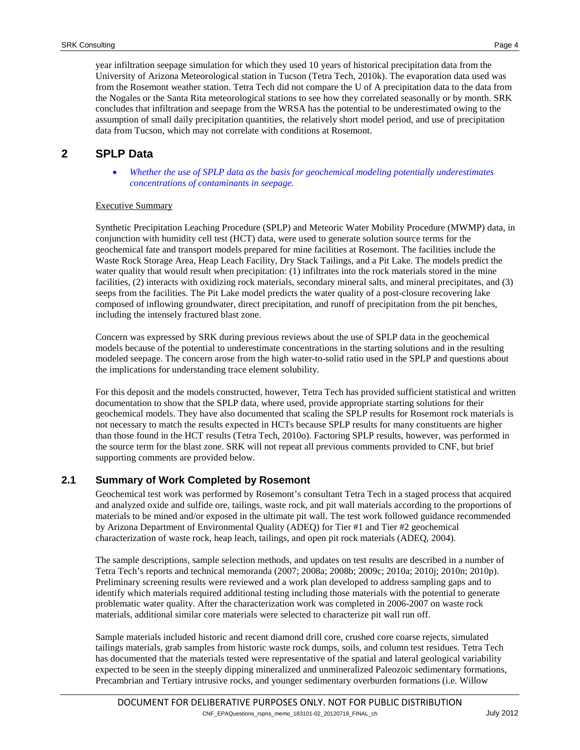year infiltration seepage simulation for which they used 10 years of historical precipitation data from the University of Arizona Meteorological station in Tucson (Tetra Tech, 2010k). The evaporation data used was from the Rosemont weather station. Tetra Tech did not compare the U of A precipitation data to the data from the Nogales or the Santa Rita meteorological stations to see how they correlated seasonally or by month. SRK concludes that infiltration and seepage from the WRSA has the potential to be underestimated owing to the assumption of small daily precipitation quantities, the relatively short model period, and use of precipitation data from Tucson, which may not correlate with conditions at Rosemont.

# **2 SPLP Data**

• *Whether the use of SPLP data as the basis for geochemical modeling potentially underestimates concentrations of contaminants in seepage.*

#### Executive Summary

Synthetic Precipitation Leaching Procedure (SPLP) and Meteoric Water Mobility Procedure (MWMP) data, in conjunction with humidity cell test (HCT) data, were used to generate solution source terms for the geochemical fate and transport models prepared for mine facilities at Rosemont. The facilities include the Waste Rock Storage Area, Heap Leach Facility, Dry Stack Tailings, and a Pit Lake. The models predict the water quality that would result when precipitation: (1) infiltrates into the rock materials stored in the mine facilities, (2) interacts with oxidizing rock materials, secondary mineral salts, and mineral precipitates, and (3) seeps from the facilities. The Pit Lake model predicts the water quality of a post-closure recovering lake composed of inflowing groundwater, direct precipitation, and runoff of precipitation from the pit benches, including the intensely fractured blast zone.

Concern was expressed by SRK during previous reviews about the use of SPLP data in the geochemical models because of the potential to underestimate concentrations in the starting solutions and in the resulting modeled seepage. The concern arose from the high water-to-solid ratio used in the SPLP and questions about the implications for understanding trace element solubility.

For this deposit and the models constructed, however, Tetra Tech has provided sufficient statistical and written documentation to show that the SPLP data, where used, provide appropriate starting solutions for their geochemical models. They have also documented that scaling the SPLP results for Rosemont rock materials is not necessary to match the results expected in HCTs because SPLP results for many constituents are higher than those found in the HCT results (Tetra Tech, 2010o). Factoring SPLP results, however, was performed in the source term for the blast zone. SRK will not repeat all previous comments provided to CNF, but brief supporting comments are provided below.

#### **2.1 Summary of Work Completed by Rosemont**

Geochemical test work was performed by Rosemont's consultant Tetra Tech in a staged process that acquired and analyzed oxide and sulfide ore, tailings, waste rock, and pit wall materials according to the proportions of materials to be mined and/or exposed in the ultimate pit wall. The test work followed guidance recommended by Arizona Department of Environmental Quality (ADEQ) for Tier #1 and Tier #2 geochemical characterization of waste rock, heap leach, tailings, and open pit rock materials (ADEQ, 2004).

The sample descriptions, sample selection methods, and updates on test results are described in a number of Tetra Tech's reports and technical memoranda (2007; 2008a; 2008b; 2009c; 2010a; 2010j; 2010n; 2010p). Preliminary screening results were reviewed and a work plan developed to address sampling gaps and to identify which materials required additional testing including those materials with the potential to generate problematic water quality. After the characterization work was completed in 2006-2007 on waste rock materials, additional similar core materials were selected to characterize pit wall run off.

Sample materials included historic and recent diamond drill core, crushed core coarse rejects, simulated tailings materials, grab samples from historic waste rock dumps, soils, and column test residues. Tetra Tech has documented that the materials tested were representative of the spatial and lateral geological variability expected to be seen in the steeply dipping mineralized and unmineralized Paleozoic sedimentary formations, Precambrian and Tertiary intrusive rocks, and younger sedimentary overburden formations (i.e. Willow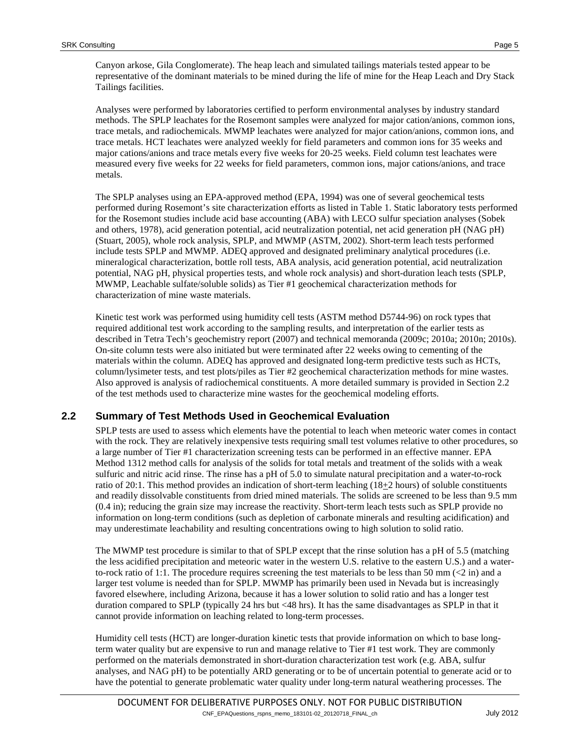Canyon arkose, Gila Conglomerate). The heap leach and simulated tailings materials tested appear to be representative of the dominant materials to be mined during the life of mine for the Heap Leach and Dry Stack Tailings facilities.

Analyses were performed by laboratories certified to perform environmental analyses by industry standard methods. The SPLP leachates for the Rosemont samples were analyzed for major cation/anions, common ions, trace metals, and radiochemicals. MWMP leachates were analyzed for major cation/anions, common ions, and trace metals. HCT leachates were analyzed weekly for field parameters and common ions for 35 weeks and major cations/anions and trace metals every five weeks for 20-25 weeks. Field column test leachates were measured every five weeks for 22 weeks for field parameters, common ions, major cations/anions, and trace metals.

The SPLP analyses using an EPA-approved method (EPA, 1994) was one of several geochemical tests performed during Rosemont's site characterization efforts as listed i[n Table 1.](#page-5-0) Static laboratory tests performed for the Rosemont studies include acid base accounting (ABA) with LECO sulfur speciation analyses (Sobek and others, 1978), acid generation potential, acid neutralization potential, net acid generation pH (NAG pH) (Stuart, 2005), whole rock analysis, SPLP, and MWMP (ASTM, 2002). Short-term leach tests performed include tests SPLP and MWMP. ADEQ approved and designated preliminary analytical procedures (i.e. mineralogical characterization, bottle roll tests, ABA analysis, acid generation potential, acid neutralization potential, NAG pH, physical properties tests, and whole rock analysis) and short-duration leach tests (SPLP, MWMP, Leachable sulfate/soluble solids) as Tier #1 geochemical characterization methods for characterization of mine waste materials.

Kinetic test work was performed using humidity cell tests (ASTM method D5744-96) on rock types that required additional test work according to the sampling results, and interpretation of the earlier tests as described in Tetra Tech's geochemistry report (2007) and technical memoranda (2009c; 2010a; 2010n; 2010s). On-site column tests were also initiated but were terminated after 22 weeks owing to cementing of the materials within the column. ADEQ has approved and designated long-term predictive tests such as HCTs, column/lysimeter tests, and test plots/piles as Tier #2 geochemical characterization methods for mine wastes. Also approved is analysis of radiochemical constituents. A more detailed summary is provided in Section [2.2](#page-4-0) of the test methods used to characterize mine wastes for the geochemical modeling efforts.

# <span id="page-4-0"></span>**2.2 Summary of Test Methods Used in Geochemical Evaluation**

SPLP tests are used to assess which elements have the potential to leach when meteoric water comes in contact with the rock. They are relatively inexpensive tests requiring small test volumes relative to other procedures, so a large number of Tier #1 characterization screening tests can be performed in an effective manner. EPA Method 1312 method calls for analysis of the solids for total metals and treatment of the solids with a weak sulfuric and nitric acid rinse. The rinse has a pH of 5.0 to simulate natural precipitation and a water-to-rock ratio of 20:1. This method provides an indication of short-term leaching  $(18\pm2$  hours) of soluble constituents and readily dissolvable constituents from dried mined materials. The solids are screened to be less than 9.5 mm (0.4 in); reducing the grain size may increase the reactivity. Short-term leach tests such as SPLP provide no information on long-term conditions (such as depletion of carbonate minerals and resulting acidification) and may underestimate leachability and resulting concentrations owing to high solution to solid ratio.

The MWMP test procedure is similar to that of SPLP except that the rinse solution has a pH of 5.5 (matching the less acidified precipitation and meteoric water in the western U.S. relative to the eastern U.S.) and a waterto-rock ratio of 1:1. The procedure requires screening the test materials to be less than 50 mm  $\ll$  2 in) and a larger test volume is needed than for SPLP. MWMP has primarily been used in Nevada but is increasingly favored elsewhere, including Arizona, because it has a lower solution to solid ratio and has a longer test duration compared to SPLP (typically 24 hrs but <48 hrs). It has the same disadvantages as SPLP in that it cannot provide information on leaching related to long-term processes.

Humidity cell tests (HCT) are longer-duration kinetic tests that provide information on which to base longterm water quality but are expensive to run and manage relative to Tier #1 test work. They are commonly performed on the materials demonstrated in short-duration characterization test work (e.g. ABA, sulfur analyses, and NAG pH) to be potentially ARD generating or to be of uncertain potential to generate acid or to have the potential to generate problematic water quality under long-term natural weathering processes. The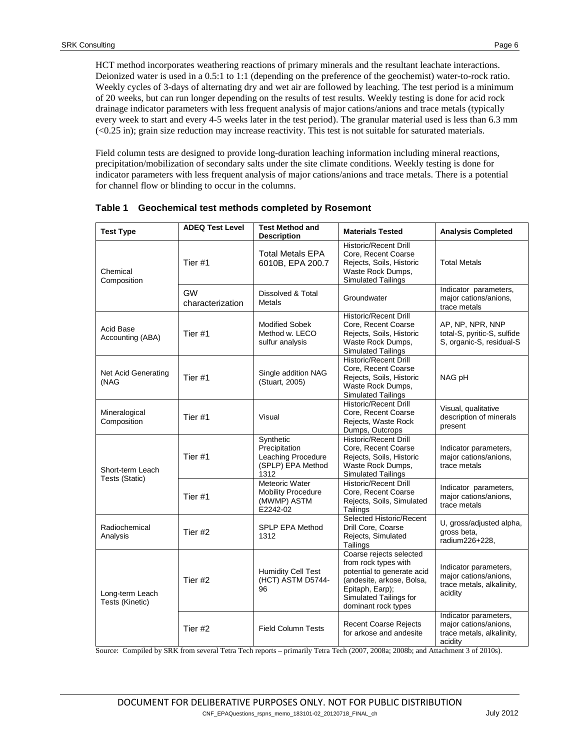HCT method incorporates weathering reactions of primary minerals and the resultant leachate interactions. Deionized water is used in a 0.5:1 to 1:1 (depending on the preference of the geochemist) water-to-rock ratio. Weekly cycles of 3-days of alternating dry and wet air are followed by leaching. The test period is a minimum of 20 weeks, but can run longer depending on the results of test results. Weekly testing is done for acid rock drainage indicator parameters with less frequent analysis of major cations/anions and trace metals (typically every week to start and every 4-5 weeks later in the test period). The granular material used is less than 6.3 mm (<0.25 in); grain size reduction may increase reactivity. This test is not suitable for saturated materials.

Field column tests are designed to provide long-duration leaching information including mineral reactions, precipitation/mobilization of secondary salts under the site climate conditions. Weekly testing is done for indicator parameters with less frequent analysis of major cations/anions and trace metals. There is a potential for channel flow or blinding to occur in the columns.

| <b>Test Type</b>                                     | <b>ADEQ Test Level</b>        | <b>Test Method and</b><br><b>Description</b>                                  | <b>Materials Tested</b>                                                                                                                                                        | <b>Analysis Completed</b>                                                              |
|------------------------------------------------------|-------------------------------|-------------------------------------------------------------------------------|--------------------------------------------------------------------------------------------------------------------------------------------------------------------------------|----------------------------------------------------------------------------------------|
| Chemical<br>Composition                              | Tier #1                       | <b>Total Metals EPA</b><br>6010B, EPA 200.7                                   | <b>Historic/Recent Drill</b><br>Core, Recent Coarse<br>Rejects, Soils, Historic<br>Waste Rock Dumps,<br>Simulated Tailings                                                     | <b>Total Metals</b>                                                                    |
|                                                      | <b>GW</b><br>characterization | Dissolved & Total<br><b>Metals</b>                                            | Groundwater                                                                                                                                                                    | Indicator parameters,<br>major cations/anions,<br>trace metals                         |
| Acid Base<br>Accounting (ABA)                        | Tier #1                       | <b>Modified Sobek</b><br>Method w. LECO<br>sulfur analysis                    | <b>Historic/Recent Drill</b><br>Core, Recent Coarse<br>Rejects, Soils, Historic<br>Waste Rock Dumps,<br><b>Simulated Tailings</b>                                              | AP, NP, NPR, NNP<br>total-S, pyritic-S, sulfide<br>S, organic-S, residual-S            |
| Net Acid Generating<br>(NAG                          | Tier#1                        | Single addition NAG<br>(Stuart, 2005)                                         | <b>Historic/Recent Drill</b><br>Core, Recent Coarse<br>Rejects, Soils, Historic<br>Waste Rock Dumps,<br>Simulated Tailings                                                     | NAG pH                                                                                 |
| Mineralogical<br>Composition                         | Tier <sub>#1</sub>            | Visual                                                                        | <b>Historic/Recent Drill</b><br>Core, Recent Coarse<br>Rejects, Waste Rock<br>Dumps, Outcrops                                                                                  | Visual, qualitative<br>description of minerals<br>present                              |
| Short-term Leach                                     | Tier#1                        | Synthetic<br>Precipitation<br>Leaching Procedure<br>(SPLP) EPA Method<br>1312 | Historic/Recent Drill<br>Core, Recent Coarse<br>Rejects, Soils, Historic<br>Waste Rock Dumps,<br>Simulated Tailings                                                            | Indicator parameters,<br>major cations/anions,<br>trace metals                         |
|                                                      | Tier <sub>#1</sub>            | Meteoric Water<br><b>Mobility Procedure</b><br>(MWMP) ASTM<br>E2242-02        | <b>Historic/Recent Drill</b><br>Core, Recent Coarse<br>Rejects, Soils, Simulated<br>Tailings                                                                                   | Indicator parameters,<br>major cations/anions,<br>trace metals                         |
| Radiochemical<br>Analysis                            | Tier #2                       | <b>SPLP EPA Method</b><br>1312                                                | Selected Historic/Recent<br>Drill Core, Coarse<br>Rejects, Simulated<br>Tailings                                                                                               | U, gross/adjusted alpha,<br>gross beta,<br>radium226+228,                              |
| Tests (Static)<br>Long-term Leach<br>Tests (Kinetic) | Tier #2                       | <b>Humidity Cell Test</b><br>(HCT) ASTM D5744-<br>96                          | Coarse rejects selected<br>from rock types with<br>potential to generate acid<br>(andesite, arkose, Bolsa,<br>Epitaph, Earp);<br>Simulated Tailings for<br>dominant rock types | Indicator parameters,<br>major cations/anions,<br>trace metals, alkalinity,<br>acidity |
|                                                      | Tier <sub>#2</sub>            | <b>Field Column Tests</b>                                                     | <b>Recent Coarse Rejects</b><br>for arkose and andesite                                                                                                                        | Indicator parameters,<br>major cations/anions,<br>trace metals, alkalinity,<br>acidity |

<span id="page-5-0"></span>**Table 1 Geochemical test methods completed by Rosemont**

Source: Compiled by SRK from several Tetra Tech reports – primarily Tetra Tech (2007, 2008a; 2008b; and Attachment 3 of 2010s).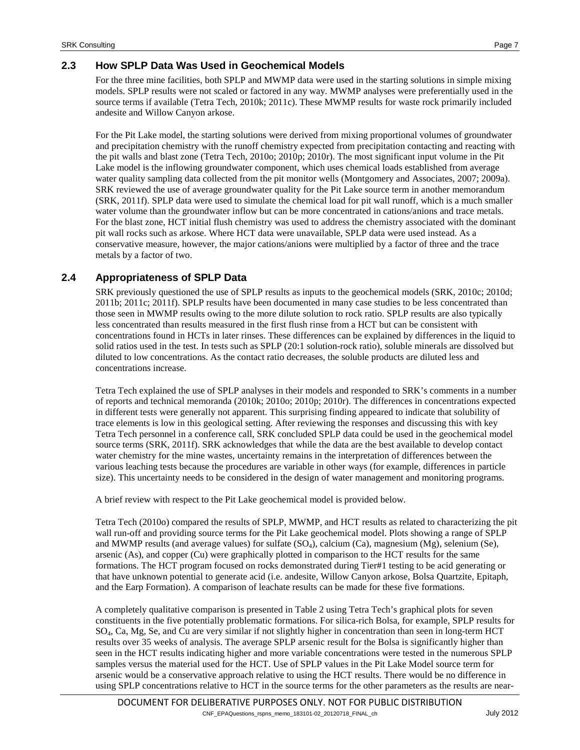#### <span id="page-6-0"></span>**2.3 How SPLP Data Was Used in Geochemical Models**

For the three mine facilities, both SPLP and MWMP data were used in the starting solutions in simple mixing models. SPLP results were not scaled or factored in any way. MWMP analyses were preferentially used in the source terms if available (Tetra Tech, 2010k; 2011c). These MWMP results for waste rock primarily included andesite and Willow Canyon arkose.

For the Pit Lake model, the starting solutions were derived from mixing proportional volumes of groundwater and precipitation chemistry with the runoff chemistry expected from precipitation contacting and reacting with the pit walls and blast zone (Tetra Tech, 2010o; 2010p; 2010r). The most significant input volume in the Pit Lake model is the inflowing groundwater component, which uses chemical loads established from average water quality sampling data collected from the pit monitor wells (Montgomery and Associates, 2007; 2009a). SRK reviewed the use of average groundwater quality for the Pit Lake source term in another memorandum (SRK, 2011f). SPLP data were used to simulate the chemical load for pit wall runoff, which is a much smaller water volume than the groundwater inflow but can be more concentrated in cations/anions and trace metals. For the blast zone, HCT initial flush chemistry was used to address the chemistry associated with the dominant pit wall rocks such as arkose. Where HCT data were unavailable, SPLP data were used instead. As a conservative measure, however, the major cations/anions were multiplied by a factor of three and the trace metals by a factor of two.

### **2.4 Appropriateness of SPLP Data**

SRK previously questioned the use of SPLP results as inputs to the geochemical models (SRK, 2010c; 2010d; 2011b; 2011c; 2011f). SPLP results have been documented in many case studies to be less concentrated than those seen in MWMP results owing to the more dilute solution to rock ratio. SPLP results are also typically less concentrated than results measured in the first flush rinse from a HCT but can be consistent with concentrations found in HCTs in later rinses. These differences can be explained by differences in the liquid to solid ratios used in the test. In tests such as SPLP (20:1 solution-rock ratio), soluble minerals are dissolved but diluted to low concentrations. As the contact ratio decreases, the soluble products are diluted less and concentrations increase.

Tetra Tech explained the use of SPLP analyses in their models and responded to SRK's comments in a number of reports and technical memoranda (2010k; 2010o; 2010p; 2010r). The differences in concentrations expected in different tests were generally not apparent. This surprising finding appeared to indicate that solubility of trace elements is low in this geological setting. After reviewing the responses and discussing this with key Tetra Tech personnel in a conference call, SRK concluded SPLP data could be used in the geochemical model source terms (SRK, 2011f). SRK acknowledges that while the data are the best available to develop contact water chemistry for the mine wastes, uncertainty remains in the interpretation of differences between the various leaching tests because the procedures are variable in other ways (for example, differences in particle size). This uncertainty needs to be considered in the design of water management and monitoring programs.

A brief review with respect to the Pit Lake geochemical model is provided below.

Tetra Tech (2010o) compared the results of SPLP, MWMP, and HCT results as related to characterizing the pit wall run-off and providing source terms for the Pit Lake geochemical model. Plots showing a range of SPLP and MWMP results (and average values) for sulfate  $(SO<sub>4</sub>)$ , calcium  $(Ca)$ , magnesium  $(Mg)$ , selenium (Se), arsenic (As), and copper (Cu) were graphically plotted in comparison to the HCT results for the same formations. The HCT program focused on rocks demonstrated during Tier#1 testing to be acid generating or that have unknown potential to generate acid (i.e. andesite, Willow Canyon arkose, Bolsa Quartzite, Epitaph, and the Earp Formation). A comparison of leachate results can be made for these five formations.

A completely qualitative comparison is presented in [Table 2](#page-7-0) using Tetra Tech's graphical plots for seven constituents in the five potentially problematic formations. For silica-rich Bolsa, for example, SPLP results for SO4, Ca, Mg, Se, and Cu are very similar if not slightly higher in concentration than seen in long-term HCT results over 35 weeks of analysis. The average SPLP arsenic result for the Bolsa is significantly higher than seen in the HCT results indicating higher and more variable concentrations were tested in the numerous SPLP samples versus the material used for the HCT. Use of SPLP values in the Pit Lake Model source term for arsenic would be a conservative approach relative to using the HCT results. There would be no difference in using SPLP concentrations relative to HCT in the source terms for the other parameters as the results are near-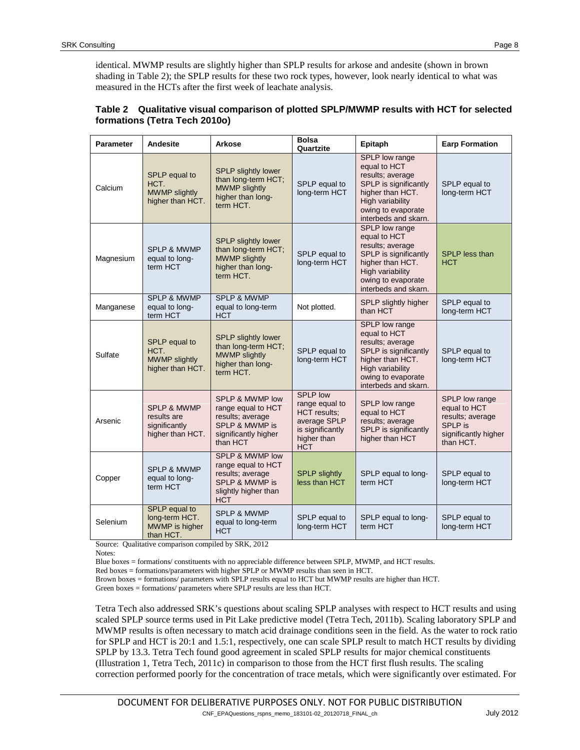| <b>Parameter</b> | Andesite                                                                   | <b>Arkose</b>                                                                                                                | Bolsa<br>Quartzite                                                                                                        | Epitaph                                                                                                                                                           | <b>Earp Formation</b>                                                                              |
|------------------|----------------------------------------------------------------------------|------------------------------------------------------------------------------------------------------------------------------|---------------------------------------------------------------------------------------------------------------------------|-------------------------------------------------------------------------------------------------------------------------------------------------------------------|----------------------------------------------------------------------------------------------------|
| Calcium          | SPLP equal to<br>HCT.<br><b>MWMP slightly</b><br>higher than HCT.          | <b>SPLP slightly lower</b><br>than long-term HCT;<br><b>MWMP slightly</b><br>higher than long-<br>term HCT.                  | SPLP equal to<br>long-term HCT                                                                                            | SPLP low range<br>equal to HCT<br>results; average<br>SPLP is significantly<br>higher than HCT.<br>High variability<br>owing to evaporate<br>interbeds and skarn. | SPLP equal to<br>long-term HCT                                                                     |
| Magnesium        | <b>SPLP &amp; MWMP</b><br>equal to long-<br>term HCT                       | <b>SPLP slightly lower</b><br>than long-term HCT;<br><b>MWMP slightly</b><br>higher than long-<br>term HCT.                  | SPLP equal to<br>long-term HCT                                                                                            | SPLP low range<br>equal to HCT<br>results: average<br>SPLP is significantly<br>higher than HCT.<br>High variability<br>owing to evaporate<br>interbeds and skarn. | SPLP less than<br><b>HCT</b>                                                                       |
| Manganese        | <b>SPLP &amp; MWMP</b><br>equal to long-<br>term HCT                       | <b>SPLP &amp; MWMP</b><br>equal to long-term<br><b>HCT</b>                                                                   | Not plotted.                                                                                                              | SPLP slightly higher<br>than HCT                                                                                                                                  | SPLP equal to<br>long-term HCT                                                                     |
| Sulfate          | SPLP equal to<br>HCT.<br><b>MWMP slightly</b><br>higher than HCT.          | <b>SPLP slightly lower</b><br>than long-term HCT;<br><b>MWMP slightly</b><br>higher than long-<br>term HCT.                  | SPLP equal to<br>long-term HCT                                                                                            | SPLP low range<br>equal to HCT<br>results; average<br>SPLP is significantly<br>higher than HCT.<br>High variability<br>owing to evaporate<br>interbeds and skarn. | SPLP equal to<br>long-term HCT                                                                     |
| Arsenic          | <b>SPLP &amp; MWMP</b><br>results are<br>significantly<br>higher than HCT. | SPLP & MWMP low<br>range equal to HCT<br>results; average<br>SPLP & MWMP is<br>significantly higher<br>than HCT              | <b>SPLP low</b><br>range equal to<br><b>HCT</b> results:<br>average SPLP<br>is significantly<br>higher than<br><b>HCT</b> | SPLP low range<br>equal to HCT<br>results; average<br>SPLP is significantly<br>higher than HCT                                                                    | SPLP low range<br>equal to HCT<br>results; average<br>SPLP is<br>significantly higher<br>than HCT. |
| Copper           | <b>SPLP &amp; MWMP</b><br>equal to long-<br>term HCT                       | <b>SPLP &amp; MWMP low</b><br>range equal to HCT<br>results; average<br>SPLP & MWMP is<br>slightly higher than<br><b>HCT</b> | <b>SPLP slightly</b><br>less than HCT                                                                                     | SPLP equal to long-<br>term HCT                                                                                                                                   | SPLP equal to<br>long-term HCT                                                                     |
| Selenium         | SPLP equal to<br>long-term HCT.<br>MWMP is higher<br>than HCT.             | <b>SPLP &amp; MWMP</b><br>equal to long-term<br><b>HCT</b>                                                                   | SPLP equal to<br>long-term HCT                                                                                            | SPLP equal to long-<br>term HCT                                                                                                                                   | SPLP equal to<br>long-term HCT                                                                     |

<span id="page-7-0"></span>

| Table 2 Qualitative visual comparison of plotted SPLP/MWMP results with HCT for selected |
|------------------------------------------------------------------------------------------|
| formations (Tetra Tech 2010o)                                                            |

Source: Qualitative comparison compiled by SRK, 2012

Notes:

Blue boxes = formations/ constituents with no appreciable difference between SPLP, MWMP, and HCT results.

Red boxes = formations/parameters with higher SPLP or MWMP results than seen in HCT.

Brown boxes = formations/ parameters with SPLP results equal to HCT but MWMP results are higher than HCT.

Green boxes = formations/ parameters where SPLP results are less than HCT.

Tetra Tech also addressed SRK's questions about scaling SPLP analyses with respect to HCT results and using scaled SPLP source terms used in Pit Lake predictive model (Tetra Tech, 2011b). Scaling laboratory SPLP and MWMP results is often necessary to match acid drainage conditions seen in the field. As the water to rock ratio for SPLP and HCT is 20:1 and 1.5:1, respectively, one can scale SPLP result to match HCT results by dividing SPLP by 13.3. Tetra Tech found good agreement in scaled SPLP results for major chemical constituents (Illustration 1, Tetra Tech, 2011c) in comparison to those from the HCT first flush results. The scaling correction performed poorly for the concentration of trace metals, which were significantly over estimated. For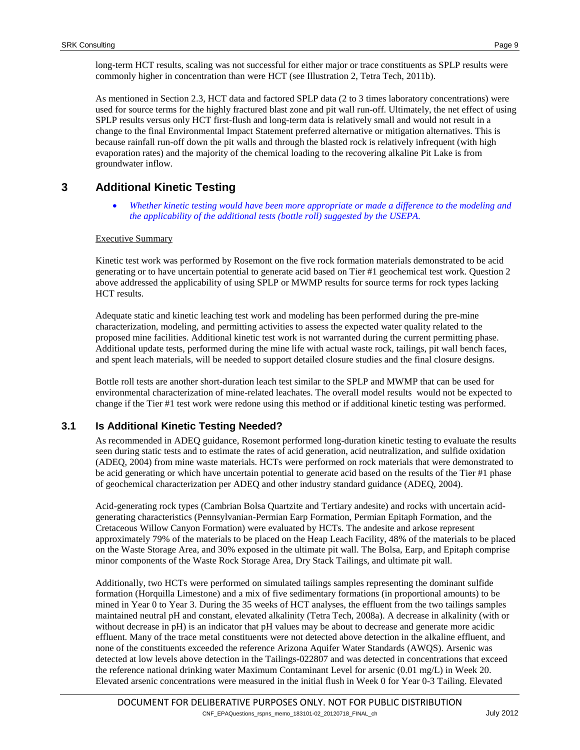long-term HCT results, scaling was not successful for either major or trace constituents as SPLP results were commonly higher in concentration than were HCT (see Illustration 2, Tetra Tech, 2011b).

As mentioned in Section [2.3,](#page-6-0) HCT data and factored SPLP data (2 to 3 times laboratory concentrations) were used for source terms for the highly fractured blast zone and pit wall run-off. Ultimately, the net effect of using SPLP results versus only HCT first-flush and long-term data is relatively small and would not result in a change to the final Environmental Impact Statement preferred alternative or mitigation alternatives. This is because rainfall run-off down the pit walls and through the blasted rock is relatively infrequent (with high evaporation rates) and the majority of the chemical loading to the recovering alkaline Pit Lake is from groundwater inflow.

# **3 Additional Kinetic Testing**

• *Whether kinetic testing would have been more appropriate or made a difference to the modeling and the applicability of the additional tests (bottle roll) suggested by the USEPA.*

#### Executive Summary

Kinetic test work was performed by Rosemont on the five rock formation materials demonstrated to be acid generating or to have uncertain potential to generate acid based on Tier #1 geochemical test work. Question 2 above addressed the applicability of using SPLP or MWMP results for source terms for rock types lacking HCT results.

Adequate static and kinetic leaching test work and modeling has been performed during the pre-mine characterization, modeling, and permitting activities to assess the expected water quality related to the proposed mine facilities. Additional kinetic test work is not warranted during the current permitting phase. Additional update tests, performed during the mine life with actual waste rock, tailings, pit wall bench faces, and spent leach materials, will be needed to support detailed closure studies and the final closure designs.

Bottle roll tests are another short-duration leach test similar to the SPLP and MWMP that can be used for environmental characterization of mine-related leachates. The overall model results would not be expected to change if the Tier #1 test work were redone using this method or if additional kinetic testing was performed.

# **3.1 Is Additional Kinetic Testing Needed?**

As recommended in ADEQ guidance, Rosemont performed long-duration kinetic testing to evaluate the results seen during static tests and to estimate the rates of acid generation, acid neutralization, and sulfide oxidation (ADEQ, 2004) from mine waste materials. HCTs were performed on rock materials that were demonstrated to be acid generating or which have uncertain potential to generate acid based on the results of the Tier #1 phase of geochemical characterization per ADEQ and other industry standard guidance (ADEQ, 2004).

Acid-generating rock types (Cambrian Bolsa Quartzite and Tertiary andesite) and rocks with uncertain acidgenerating characteristics (Pennsylvanian-Permian Earp Formation, Permian Epitaph Formation, and the Cretaceous Willow Canyon Formation) were evaluated by HCTs. The andesite and arkose represent approximately 79% of the materials to be placed on the Heap Leach Facility, 48% of the materials to be placed on the Waste Storage Area, and 30% exposed in the ultimate pit wall. The Bolsa, Earp, and Epitaph comprise minor components of the Waste Rock Storage Area, Dry Stack Tailings, and ultimate pit wall.

Additionally, two HCTs were performed on simulated tailings samples representing the dominant sulfide formation (Horquilla Limestone) and a mix of five sedimentary formations (in proportional amounts) to be mined in Year 0 to Year 3. During the 35 weeks of HCT analyses, the effluent from the two tailings samples maintained neutral pH and constant, elevated alkalinity (Tetra Tech, 2008a). A decrease in alkalinity (with or without decrease in pH) is an indicator that pH values may be about to decrease and generate more acidic effluent. Many of the trace metal constituents were not detected above detection in the alkaline effluent, and none of the constituents exceeded the reference Arizona Aquifer Water Standards (AWQS). Arsenic was detected at low levels above detection in the Tailings-022807 and was detected in concentrations that exceed the reference national drinking water Maximum Contaminant Level for arsenic (0.01 mg/L) in Week 20. Elevated arsenic concentrations were measured in the initial flush in Week 0 for Year 0-3 Tailing. Elevated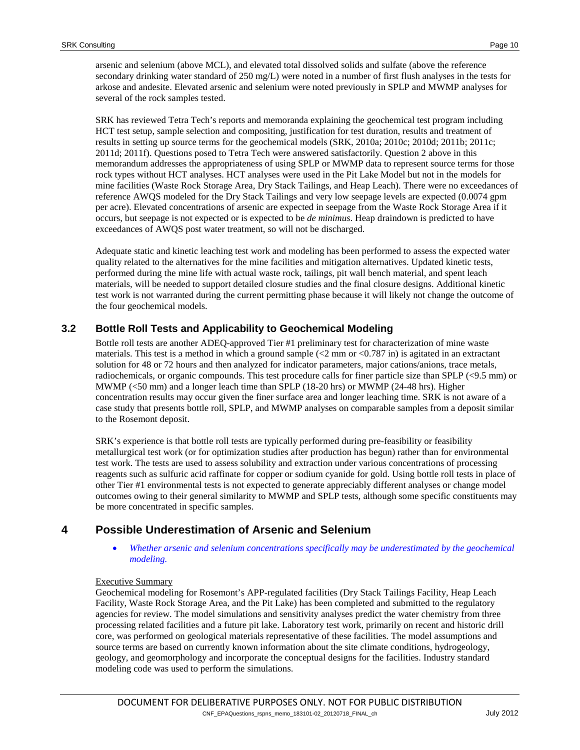arsenic and selenium (above MCL), and elevated total dissolved solids and sulfate (above the reference secondary drinking water standard of 250 mg/L) were noted in a number of first flush analyses in the tests for arkose and andesite. Elevated arsenic and selenium were noted previously in SPLP and MWMP analyses for several of the rock samples tested.

SRK has reviewed Tetra Tech's reports and memoranda explaining the geochemical test program including HCT test setup, sample selection and compositing, justification for test duration, results and treatment of results in setting up source terms for the geochemical models (SRK, 2010a; 2010c; 2010d; 2011b; 2011c; 2011d; 2011f). Questions posed to Tetra Tech were answered satisfactorily. Question 2 above in this memorandum addresses the appropriateness of using SPLP or MWMP data to represent source terms for those rock types without HCT analyses. HCT analyses were used in the Pit Lake Model but not in the models for mine facilities (Waste Rock Storage Area, Dry Stack Tailings, and Heap Leach). There were no exceedances of reference AWQS modeled for the Dry Stack Tailings and very low seepage levels are expected (0.0074 gpm per acre). Elevated concentrations of arsenic are expected in seepage from the Waste Rock Storage Area if it occurs, but seepage is not expected or is expected to be *de minimus*. Heap draindown is predicted to have exceedances of AWQS post water treatment, so will not be discharged.

Adequate static and kinetic leaching test work and modeling has been performed to assess the expected water quality related to the alternatives for the mine facilities and mitigation alternatives. Updated kinetic tests, performed during the mine life with actual waste rock, tailings, pit wall bench material, and spent leach materials, will be needed to support detailed closure studies and the final closure designs. Additional kinetic test work is not warranted during the current permitting phase because it will likely not change the outcome of the four geochemical models.

### **3.2 Bottle Roll Tests and Applicability to Geochemical Modeling**

Bottle roll tests are another ADEQ-approved Tier #1 preliminary test for characterization of mine waste materials. This test is a method in which a ground sample  $\ll$  2 mm or  $\ll$  0.787 in) is agitated in an extractant solution for 48 or 72 hours and then analyzed for indicator parameters, major cations/anions, trace metals, radiochemicals, or organic compounds. This test procedure calls for finer particle size than SPLP (<9.5 mm) or MWMP (<50 mm) and a longer leach time than SPLP (18-20 hrs) or MWMP (24-48 hrs). Higher concentration results may occur given the finer surface area and longer leaching time. SRK is not aware of a case study that presents bottle roll, SPLP, and MWMP analyses on comparable samples from a deposit similar to the Rosemont deposit.

SRK's experience is that bottle roll tests are typically performed during pre-feasibility or feasibility metallurgical test work (or for optimization studies after production has begun) rather than for environmental test work. The tests are used to assess solubility and extraction under various concentrations of processing reagents such as sulfuric acid raffinate for copper or sodium cyanide for gold. Using bottle roll tests in place of other Tier #1 environmental tests is not expected to generate appreciably different analyses or change model outcomes owing to their general similarity to MWMP and SPLP tests, although some specific constituents may be more concentrated in specific samples.

# **4 Possible Underestimation of Arsenic and Selenium**

• *Whether arsenic and selenium concentrations specifically may be underestimated by the geochemical modeling.*

#### Executive Summary

Geochemical modeling for Rosemont's APP-regulated facilities (Dry Stack Tailings Facility, Heap Leach Facility, Waste Rock Storage Area, and the Pit Lake) has been completed and submitted to the regulatory agencies for review. The model simulations and sensitivity analyses predict the water chemistry from three processing related facilities and a future pit lake. Laboratory test work, primarily on recent and historic drill core, was performed on geological materials representative of these facilities. The model assumptions and source terms are based on currently known information about the site climate conditions, hydrogeology, geology, and geomorphology and incorporate the conceptual designs for the facilities. Industry standard modeling code was used to perform the simulations.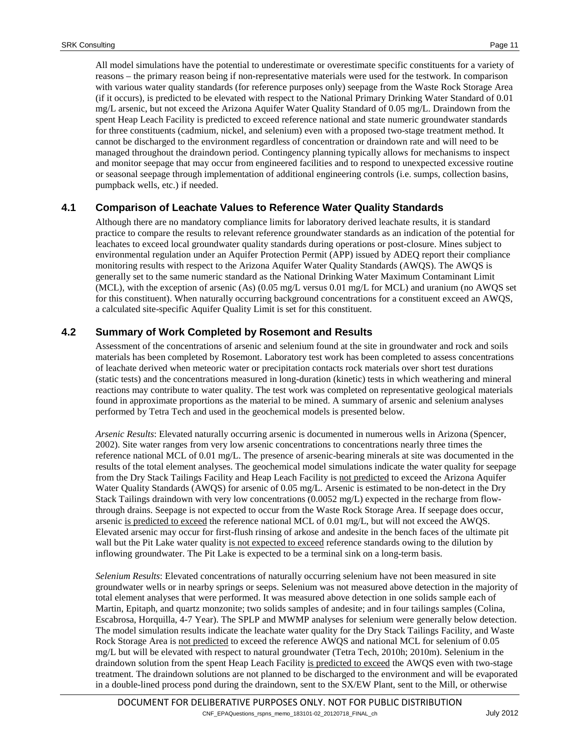All model simulations have the potential to underestimate or overestimate specific constituents for a variety of reasons – the primary reason being if non-representative materials were used for the testwork. In comparison with various water quality standards (for reference purposes only) seepage from the Waste Rock Storage Area (if it occurs), is predicted to be elevated with respect to the National Primary Drinking Water Standard of 0.01 mg/L arsenic, but not exceed the Arizona Aquifer Water Quality Standard of 0.05 mg/L. Draindown from the spent Heap Leach Facility is predicted to exceed reference national and state numeric groundwater standards for three constituents (cadmium, nickel, and selenium) even with a proposed two-stage treatment method. It cannot be discharged to the environment regardless of concentration or draindown rate and will need to be managed throughout the draindown period. Contingency planning typically allows for mechanisms to inspect and monitor seepage that may occur from engineered facilities and to respond to unexpected excessive routine or seasonal seepage through implementation of additional engineering controls (i.e. sumps, collection basins, pumpback wells, etc.) if needed.

#### **4.1 Comparison of Leachate Values to Reference Water Quality Standards**

Although there are no mandatory compliance limits for laboratory derived leachate results, it is standard practice to compare the results to relevant reference groundwater standards as an indication of the potential for leachates to exceed local groundwater quality standards during operations or post-closure. Mines subject to environmental regulation under an Aquifer Protection Permit (APP) issued by ADEQ report their compliance monitoring results with respect to the Arizona Aquifer Water Quality Standards (AWQS). The AWQS is generally set to the same numeric standard as the National Drinking Water Maximum Contaminant Limit (MCL), with the exception of arsenic (As) (0.05 mg/L versus 0.01 mg/L for MCL) and uranium (no AWQS set for this constituent). When naturally occurring background concentrations for a constituent exceed an AWQS, a calculated site-specific Aquifer Quality Limit is set for this constituent.

#### **4.2 Summary of Work Completed by Rosemont and Results**

Assessment of the concentrations of arsenic and selenium found at the site in groundwater and rock and soils materials has been completed by Rosemont. Laboratory test work has been completed to assess concentrations of leachate derived when meteoric water or precipitation contacts rock materials over short test durations (static tests) and the concentrations measured in long-duration (kinetic) tests in which weathering and mineral reactions may contribute to water quality. The test work was completed on representative geological materials found in approximate proportions as the material to be mined. A summary of arsenic and selenium analyses performed by Tetra Tech and used in the geochemical models is presented below.

*Arsenic Results*: Elevated naturally occurring arsenic is documented in numerous wells in Arizona (Spencer, 2002). Site water ranges from very low arsenic concentrations to concentrations nearly three times the reference national MCL of 0.01 mg/L. The presence of arsenic-bearing minerals at site was documented in the results of the total element analyses. The geochemical model simulations indicate the water quality for seepage from the Dry Stack Tailings Facility and Heap Leach Facility is not predicted to exceed the Arizona Aquifer Water Quality Standards (AWQS) for arsenic of 0.05 mg/L. Arsenic is estimated to be non-detect in the Dry Stack Tailings draindown with very low concentrations (0.0052 mg/L) expected in the recharge from flowthrough drains. Seepage is not expected to occur from the Waste Rock Storage Area. If seepage does occur, arsenic is predicted to exceed the reference national MCL of 0.01 mg/L, but will not exceed the AWQS. Elevated arsenic may occur for first-flush rinsing of arkose and andesite in the bench faces of the ultimate pit wall but the Pit Lake water quality is not expected to exceed reference standards owing to the dilution by inflowing groundwater. The Pit Lake is expected to be a terminal sink on a long-term basis.

*Selenium Results*: Elevated concentrations of naturally occurring selenium have not been measured in site groundwater wells or in nearby springs or seeps. Selenium was not measured above detection in the majority of total element analyses that were performed. It was measured above detection in one solids sample each of Martin, Epitaph, and quartz monzonite; two solids samples of andesite; and in four tailings samples (Colina, Escabrosa, Horquilla, 4-7 Year). The SPLP and MWMP analyses for selenium were generally below detection. The model simulation results indicate the leachate water quality for the Dry Stack Tailings Facility, and Waste Rock Storage Area is not predicted to exceed the reference AWQS and national MCL for selenium of 0.05 mg/L but will be elevated with respect to natural groundwater (Tetra Tech, 2010h; 2010m). Selenium in the draindown solution from the spent Heap Leach Facility is predicted to exceed the AWQS even with two-stage treatment. The draindown solutions are not planned to be discharged to the environment and will be evaporated in a double-lined process pond during the draindown, sent to the SX/EW Plant, sent to the Mill, or otherwise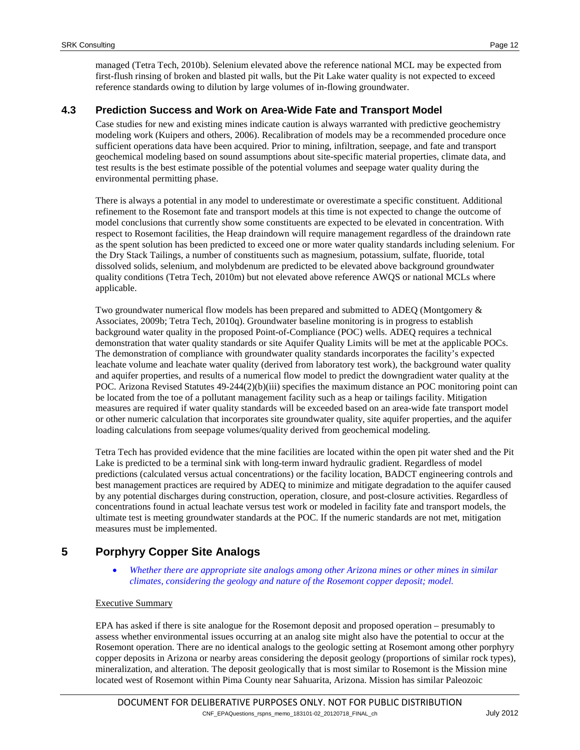managed (Tetra Tech, 2010b). Selenium elevated above the reference national MCL may be expected from first-flush rinsing of broken and blasted pit walls, but the Pit Lake water quality is not expected to exceed reference standards owing to dilution by large volumes of in-flowing groundwater.

### **4.3 Prediction Success and Work on Area-Wide Fate and Transport Model**

Case studies for new and existing mines indicate caution is always warranted with predictive geochemistry modeling work (Kuipers and others, 2006). Recalibration of models may be a recommended procedure once sufficient operations data have been acquired. Prior to mining, infiltration, seepage, and fate and transport geochemical modeling based on sound assumptions about site-specific material properties, climate data, and test results is the best estimate possible of the potential volumes and seepage water quality during the environmental permitting phase.

There is always a potential in any model to underestimate or overestimate a specific constituent. Additional refinement to the Rosemont fate and transport models at this time is not expected to change the outcome of model conclusions that currently show some constituents are expected to be elevated in concentration. With respect to Rosemont facilities, the Heap draindown will require management regardless of the draindown rate as the spent solution has been predicted to exceed one or more water quality standards including selenium. For the Dry Stack Tailings, a number of constituents such as magnesium, potassium, sulfate, fluoride, total dissolved solids, selenium, and molybdenum are predicted to be elevated above background groundwater quality conditions (Tetra Tech, 2010m) but not elevated above reference AWQS or national MCLs where applicable.

Two groundwater numerical flow models has been prepared and submitted to ADEQ (Montgomery & Associates, 2009b; Tetra Tech, 2010q). Groundwater baseline monitoring is in progress to establish background water quality in the proposed Point-of-Compliance (POC) wells. ADEQ requires a technical demonstration that water quality standards or site Aquifer Quality Limits will be met at the applicable POCs. The demonstration of compliance with groundwater quality standards incorporates the facility's expected leachate volume and leachate water quality (derived from laboratory test work), the background water quality and aquifer properties, and results of a numerical flow model to predict the downgradient water quality at the POC. Arizona Revised Statutes 49-244(2)(b)(iii) specifies the maximum distance an POC monitoring point can be located from the toe of a pollutant management facility such as a heap or tailings facility. Mitigation measures are required if water quality standards will be exceeded based on an area-wide fate transport model or other numeric calculation that incorporates site groundwater quality, site aquifer properties, and the aquifer loading calculations from seepage volumes/quality derived from geochemical modeling.

Tetra Tech has provided evidence that the mine facilities are located within the open pit water shed and the Pit Lake is predicted to be a terminal sink with long-term inward hydraulic gradient. Regardless of model predictions (calculated versus actual concentrations) or the facility location, BADCT engineering controls and best management practices are required by ADEQ to minimize and mitigate degradation to the aquifer caused by any potential discharges during construction, operation, closure, and post-closure activities. Regardless of concentrations found in actual leachate versus test work or modeled in facility fate and transport models, the ultimate test is meeting groundwater standards at the POC. If the numeric standards are not met, mitigation measures must be implemented.

# **5 Porphyry Copper Site Analogs**

• *Whether there are appropriate site analogs among other Arizona mines or other mines in similar climates, considering the geology and nature of the Rosemont copper deposit; model.*

#### Executive Summary

EPA has asked if there is site analogue for the Rosemont deposit and proposed operation – presumably to assess whether environmental issues occurring at an analog site might also have the potential to occur at the Rosemont operation. There are no identical analogs to the geologic setting at Rosemont among other porphyry copper deposits in Arizona or nearby areas considering the deposit geology (proportions of similar rock types), mineralization, and alteration. The deposit geologically that is most similar to Rosemont is the Mission mine located west of Rosemont within Pima County near Sahuarita, Arizona. Mission has similar Paleozoic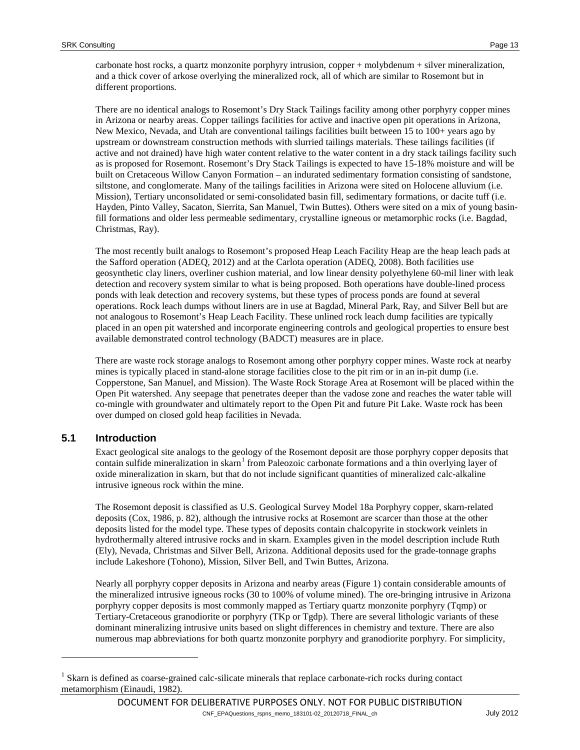carbonate host rocks, a quartz monzonite porphyry intrusion, copper + molybdenum + silver mineralization, and a thick cover of arkose overlying the mineralized rock, all of which are similar to Rosemont but in different proportions.

There are no identical analogs to Rosemont's Dry Stack Tailings facility among other porphyry copper mines in Arizona or nearby areas. Copper tailings facilities for active and inactive open pit operations in Arizona, New Mexico, Nevada, and Utah are conventional tailings facilities built between 15 to 100+ years ago by upstream or downstream construction methods with slurried tailings materials. These tailings facilities (if active and not drained) have high water content relative to the water content in a dry stack tailings facility such as is proposed for Rosemont. Rosemont's Dry Stack Tailings is expected to have 15-18% moisture and will be built on Cretaceous Willow Canyon Formation – an indurated sedimentary formation consisting of sandstone, siltstone, and conglomerate. Many of the tailings facilities in Arizona were sited on Holocene alluvium (i.e. Mission), Tertiary unconsolidated or semi-consolidated basin fill, sedimentary formations, or dacite tuff (i.e. Hayden, Pinto Valley, Sacaton, Sierrita, San Manuel, Twin Buttes). Others were sited on a mix of young basinfill formations and older less permeable sedimentary, crystalline igneous or metamorphic rocks (i.e. Bagdad, Christmas, Ray).

The most recently built analogs to Rosemont's proposed Heap Leach Facility Heap are the heap leach pads at the Safford operation (ADEQ, 2012) and at the Carlota operation (ADEQ, 2008). Both facilities use geosynthetic clay liners, overliner cushion material, and low linear density polyethylene 60-mil liner with leak detection and recovery system similar to what is being proposed. Both operations have double-lined process ponds with leak detection and recovery systems, but these types of process ponds are found at several operations. Rock leach dumps without liners are in use at Bagdad, Mineral Park, Ray, and Silver Bell but are not analogous to Rosemont's Heap Leach Facility. These unlined rock leach dump facilities are typically placed in an open pit watershed and incorporate engineering controls and geological properties to ensure best available demonstrated control technology (BADCT) measures are in place.

There are waste rock storage analogs to Rosemont among other porphyry copper mines. Waste rock at nearby mines is typically placed in stand-alone storage facilities close to the pit rim or in an in-pit dump (i.e. Copperstone, San Manuel, and Mission). The Waste Rock Storage Area at Rosemont will be placed within the Open Pit watershed. Any seepage that penetrates deeper than the vadose zone and reaches the water table will co-mingle with groundwater and ultimately report to the Open Pit and future Pit Lake. Waste rock has been over dumped on closed gold heap facilities in Nevada.

#### **5.1 Introduction**

j

Exact geological site analogs to the geology of the Rosemont deposit are those porphyry copper deposits that contain sulfide mineralization in skarn<sup>[1](#page-12-0)</sup> from Paleozoic carbonate formations and a thin overlying layer of oxide mineralization in skarn, but that do not include significant quantities of mineralized calc-alkaline intrusive igneous rock within the mine.

The Rosemont deposit is classified as U.S. Geological Survey Model 18a Porphyry copper, skarn-related deposits (Cox, 1986, p. 82), although the intrusive rocks at Rosemont are scarcer than those at the other deposits listed for the model type. These types of deposits contain chalcopyrite in stockwork veinlets in hydrothermally altered intrusive rocks and in skarn. Examples given in the model description include Ruth (Ely), Nevada, Christmas and Silver Bell, Arizona. Additional deposits used for the grade-tonnage graphs include Lakeshore (Tohono), Mission, Silver Bell, and Twin Buttes, Arizona.

Nearly all porphyry copper deposits in Arizona and nearby areas [\(Figure 1\)](#page-23-0) contain considerable amounts of the mineralized intrusive igneous rocks (30 to 100% of volume mined). The ore-bringing intrusive in Arizona porphyry copper deposits is most commonly mapped as Tertiary quartz monzonite porphyry (Tqmp) or Tertiary-Cretaceous granodiorite or porphyry (TKp or Tgdp). There are several lithologic variants of these dominant mineralizing intrusive units based on slight differences in chemistry and texture. There are also numerous map abbreviations for both quartz monzonite porphyry and granodiorite porphyry. For simplicity,

<span id="page-12-0"></span><sup>&</sup>lt;sup>1</sup> Skarn is defined as coarse-grained calc-silicate minerals that replace carbonate-rich rocks during contact metamorphism (Einaudi, 1982).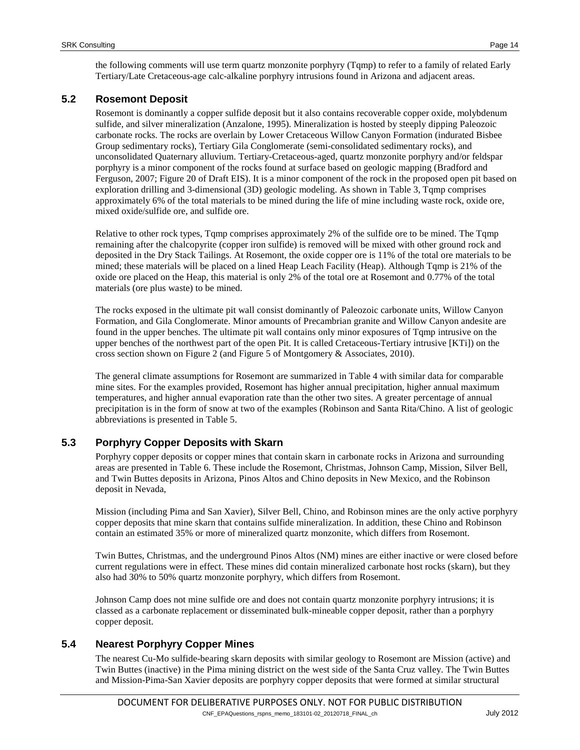the following comments will use term quartz monzonite porphyry (Tqmp) to refer to a family of related Early Tertiary/Late Cretaceous-age calc-alkaline porphyry intrusions found in Arizona and adjacent areas.

#### **5.2 Rosemont Deposit**

Rosemont is dominantly a copper sulfide deposit but it also contains recoverable copper oxide, molybdenum sulfide, and silver mineralization (Anzalone, 1995). Mineralization is hosted by steeply dipping Paleozoic carbonate rocks. The rocks are overlain by Lower Cretaceous Willow Canyon Formation (indurated Bisbee Group sedimentary rocks), Tertiary Gila Conglomerate (semi-consolidated sedimentary rocks), and unconsolidated Quaternary alluvium. Tertiary-Cretaceous-aged, quartz monzonite porphyry and/or feldspar porphyry is a minor component of the rocks found at surface based on geologic mapping (Bradford and Ferguson, 2007; Figure 20 of Draft EIS). It is a minor component of the rock in the proposed open pit based on exploration drilling and 3-dimensional (3D) geologic modeling. As shown in [Table 3,](#page-17-0) Tqmp comprises approximately 6% of the total materials to be mined during the life of mine including waste rock, oxide ore, mixed oxide/sulfide ore, and sulfide ore.

Relative to other rock types, Tqmp comprises approximately 2% of the sulfide ore to be mined. The Tqmp remaining after the chalcopyrite (copper iron sulfide) is removed will be mixed with other ground rock and deposited in the Dry Stack Tailings. At Rosemont, the oxide copper ore is 11% of the total ore materials to be mined; these materials will be placed on a lined Heap Leach Facility (Heap). Although Tqmp is 21% of the oxide ore placed on the Heap, this material is only 2% of the total ore at Rosemont and 0.77% of the total materials (ore plus waste) to be mined.

The rocks exposed in the ultimate pit wall consist dominantly of Paleozoic carbonate units, Willow Canyon Formation, and Gila Conglomerate. Minor amounts of Precambrian granite and Willow Canyon andesite are found in the upper benches. The ultimate pit wall contains only minor exposures of Tqmp intrusive on the upper benches of the northwest part of the open Pit. It is called Cretaceous-Tertiary intrusive [KTi]) on the cross section shown on [Figure 2](#page-24-0) (and Figure 5 of Montgomery & Associates, 2010).

The general climate assumptions for Rosemont are summarized in [Table 4](#page-17-1) with similar data for comparable mine sites. For the examples provided, Rosemont has higher annual precipitation, higher annual maximum temperatures, and higher annual evaporation rate than the other two sites. A greater percentage of annual precipitation is in the form of snow at two of the examples (Robinson and Santa Rita/Chino. A list of geologic abbreviations is presented in [Table 5.](#page-18-0)

# **5.3 Porphyry Copper Deposits with Skarn**

Porphyry copper deposits or copper mines that contain skarn in carbonate rocks in Arizona and surrounding areas are presented in [Table 6.](#page-19-0) These include the Rosemont, Christmas, Johnson Camp, Mission, Silver Bell, and Twin Buttes deposits in Arizona, Pinos Altos and Chino deposits in New Mexico, and the Robinson deposit in Nevada,

Mission (including Pima and San Xavier), Silver Bell, Chino, and Robinson mines are the only active porphyry copper deposits that mine skarn that contains sulfide mineralization. In addition, these Chino and Robinson contain an estimated 35% or more of mineralized quartz monzonite, which differs from Rosemont.

Twin Buttes, Christmas, and the underground Pinos Altos (NM) mines are either inactive or were closed before current regulations were in effect. These mines did contain mineralized carbonate host rocks (skarn), but they also had 30% to 50% quartz monzonite porphyry, which differs from Rosemont.

Johnson Camp does not mine sulfide ore and does not contain quartz monzonite porphyry intrusions; it is classed as a carbonate replacement or disseminated bulk-mineable copper deposit, rather than a porphyry copper deposit.

#### **5.4 Nearest Porphyry Copper Mines**

The nearest Cu-Mo sulfide-bearing skarn deposits with similar geology to Rosemont are Mission (active) and Twin Buttes (inactive) in the Pima mining district on the west side of the Santa Cruz valley. The Twin Buttes and Mission-Pima-San Xavier deposits are porphyry copper deposits that were formed at similar structural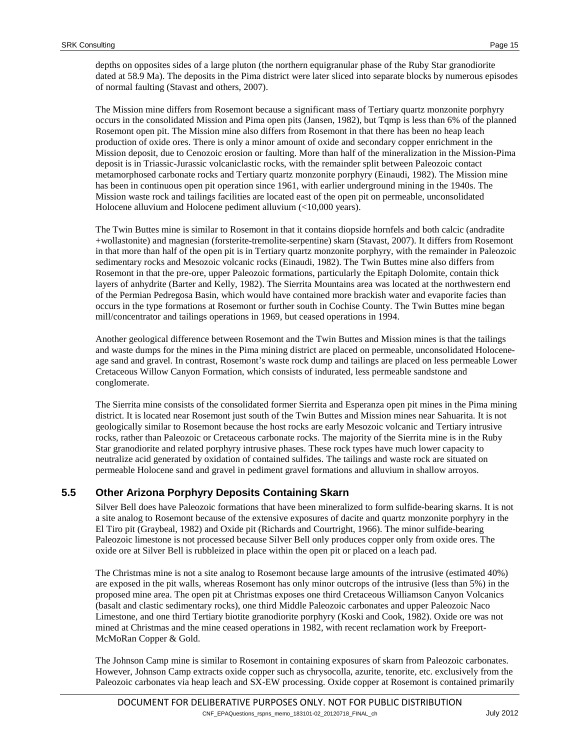depths on opposites sides of a large pluton (the northern equigranular phase of the Ruby Star granodiorite dated at 58.9 Ma). The deposits in the Pima district were later sliced into separate blocks by numerous episodes of normal faulting (Stavast and others, 2007).

The Mission mine differs from Rosemont because a significant mass of Tertiary quartz monzonite porphyry occurs in the consolidated Mission and Pima open pits (Jansen, 1982), but Tqmp is less than 6% of the planned Rosemont open pit. The Mission mine also differs from Rosemont in that there has been no heap leach production of oxide ores. There is only a minor amount of oxide and secondary copper enrichment in the Mission deposit, due to Cenozoic erosion or faulting. More than half of the mineralization in the Mission-Pima deposit is in Triassic-Jurassic volcaniclastic rocks, with the remainder split between Paleozoic contact metamorphosed carbonate rocks and Tertiary quartz monzonite porphyry (Einaudi, 1982). The Mission mine has been in continuous open pit operation since 1961, with earlier underground mining in the 1940s. The Mission waste rock and tailings facilities are located east of the open pit on permeable, unconsolidated Holocene alluvium and Holocene pediment alluvium (<10,000 years).

The Twin Buttes mine is similar to Rosemont in that it contains diopside hornfels and both calcic (andradite +wollastonite) and magnesian (forsterite-tremolite-serpentine) skarn (Stavast, 2007). It differs from Rosemont in that more than half of the open pit is in Tertiary quartz monzonite porphyry, with the remainder in Paleozoic sedimentary rocks and Mesozoic volcanic rocks (Einaudi, 1982). The Twin Buttes mine also differs from Rosemont in that the pre-ore, upper Paleozoic formations, particularly the Epitaph Dolomite, contain thick layers of anhydrite (Barter and Kelly, 1982). The Sierrita Mountains area was located at the northwestern end of the Permian Pedregosa Basin, which would have contained more brackish water and evaporite facies than occurs in the type formations at Rosemont or further south in Cochise County. The Twin Buttes mine began mill/concentrator and tailings operations in 1969, but ceased operations in 1994.

Another geological difference between Rosemont and the Twin Buttes and Mission mines is that the tailings and waste dumps for the mines in the Pima mining district are placed on permeable, unconsolidated Holoceneage sand and gravel. In contrast, Rosemont's waste rock dump and tailings are placed on less permeable Lower Cretaceous Willow Canyon Formation, which consists of indurated, less permeable sandstone and conglomerate.

The Sierrita mine consists of the consolidated former Sierrita and Esperanza open pit mines in the Pima mining district. It is located near Rosemont just south of the Twin Buttes and Mission mines near Sahuarita. It is not geologically similar to Rosemont because the host rocks are early Mesozoic volcanic and Tertiary intrusive rocks, rather than Paleozoic or Cretaceous carbonate rocks. The majority of the Sierrita mine is in the Ruby Star granodiorite and related porphyry intrusive phases. These rock types have much lower capacity to neutralize acid generated by oxidation of contained sulfides. The tailings and waste rock are situated on permeable Holocene sand and gravel in pediment gravel formations and alluvium in shallow arroyos.

# **5.5 Other Arizona Porphyry Deposits Containing Skarn**

Silver Bell does have Paleozoic formations that have been mineralized to form sulfide-bearing skarns. It is not a site analog to Rosemont because of the extensive exposures of dacite and quartz monzonite porphyry in the El Tiro pit (Graybeal, 1982) and Oxide pit (Richards and Courtright, 1966). The minor sulfide-bearing Paleozoic limestone is not processed because Silver Bell only produces copper only from oxide ores. The oxide ore at Silver Bell is rubbleized in place within the open pit or placed on a leach pad.

The Christmas mine is not a site analog to Rosemont because large amounts of the intrusive (estimated 40%) are exposed in the pit walls, whereas Rosemont has only minor outcrops of the intrusive (less than 5%) in the proposed mine area. The open pit at Christmas exposes one third Cretaceous Williamson Canyon Volcanics (basalt and clastic sedimentary rocks), one third Middle Paleozoic carbonates and upper Paleozoic Naco Limestone, and one third Tertiary biotite granodiorite porphyry (Koski and Cook, 1982). Oxide ore was not mined at Christmas and the mine ceased operations in 1982, with recent reclamation work by Freeport-McMoRan Copper & Gold.

The Johnson Camp mine is similar to Rosemont in containing exposures of skarn from Paleozoic carbonates. However, Johnson Camp extracts oxide copper such as chrysocolla, azurite, tenorite, etc. exclusively from the Paleozoic carbonates via heap leach and SX-EW processing. Oxide copper at Rosemont is contained primarily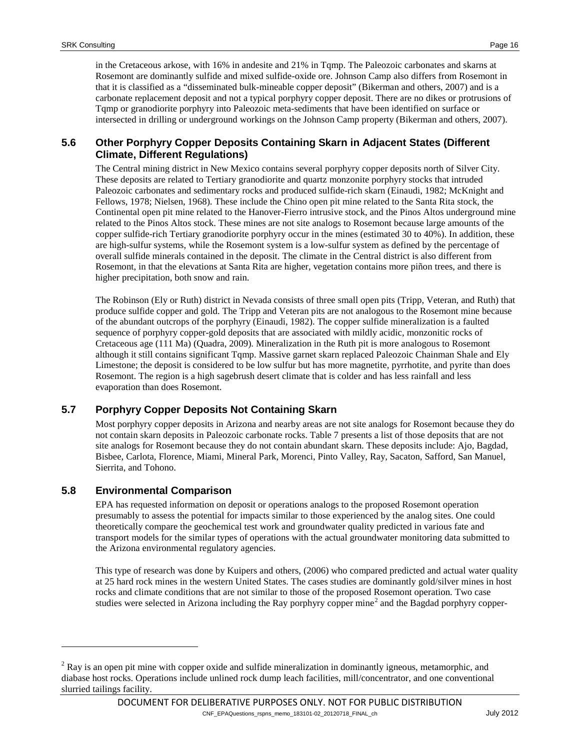in the Cretaceous arkose, with 16% in andesite and 21% in Tqmp. The Paleozoic carbonates and skarns at Rosemont are dominantly sulfide and mixed sulfide-oxide ore. Johnson Camp also differs from Rosemont in that it is classified as a "disseminated bulk-mineable copper deposit" (Bikerman and others, 2007) and is a carbonate replacement deposit and not a typical porphyry copper deposit. There are no dikes or protrusions of Tqmp or granodiorite porphyry into Paleozoic meta-sediments that have been identified on surface or intersected in drilling or underground workings on the Johnson Camp property (Bikerman and others, 2007).

### **5.6 Other Porphyry Copper Deposits Containing Skarn in Adjacent States (Different Climate, Different Regulations)**

The Central mining district in New Mexico contains several porphyry copper deposits north of Silver City. These deposits are related to Tertiary granodiorite and quartz monzonite porphyry stocks that intruded Paleozoic carbonates and sedimentary rocks and produced sulfide-rich skarn (Einaudi, 1982; McKnight and Fellows, 1978; Nielsen, 1968). These include the Chino open pit mine related to the Santa Rita stock, the Continental open pit mine related to the Hanover-Fierro intrusive stock, and the Pinos Altos underground mine related to the Pinos Altos stock. These mines are not site analogs to Rosemont because large amounts of the copper sulfide-rich Tertiary granodiorite porphyry occur in the mines (estimated 30 to 40%). In addition, these are high-sulfur systems, while the Rosemont system is a low-sulfur system as defined by the percentage of overall sulfide minerals contained in the deposit. The climate in the Central district is also different from Rosemont, in that the elevations at Santa Rita are higher, vegetation contains more piñon trees, and there is higher precipitation, both snow and rain.

The Robinson (Ely or Ruth) district in Nevada consists of three small open pits (Tripp, Veteran, and Ruth) that produce sulfide copper and gold. The Tripp and Veteran pits are not analogous to the Rosemont mine because of the abundant outcrops of the porphyry (Einaudi, 1982). The copper sulfide mineralization is a faulted sequence of porphyry copper-gold deposits that are associated with mildly acidic, monzonitic rocks of Cretaceous age (111 Ma) (Quadra, 2009). Mineralization in the Ruth pit is more analogous to Rosemont although it still contains significant Tqmp. Massive garnet skarn replaced Paleozoic Chainman Shale and Ely Limestone; the deposit is considered to be low sulfur but has more magnetite, pyrrhotite, and pyrite than does Rosemont. The region is a high sagebrush desert climate that is colder and has less rainfall and less evaporation than does Rosemont.

# **5.7 Porphyry Copper Deposits Not Containing Skarn**

Most porphyry copper deposits in Arizona and nearby areas are not site analogs for Rosemont because they do not contain skarn deposits in Paleozoic carbonate rocks. [Table 7](#page-21-0) presents a list of those deposits that are not site analogs for Rosemont because they do not contain abundant skarn. These deposits include: Ajo, Bagdad, Bisbee, Carlota, Florence, Miami, Mineral Park, Morenci, Pinto Valley, Ray, Sacaton, Safford, San Manuel, Sierrita, and Tohono.

# **5.8 Environmental Comparison**

-

EPA has requested information on deposit or operations analogs to the proposed Rosemont operation presumably to assess the potential for impacts similar to those experienced by the analog sites. One could theoretically compare the geochemical test work and groundwater quality predicted in various fate and transport models for the similar types of operations with the actual groundwater monitoring data submitted to the Arizona environmental regulatory agencies.

This type of research was done by Kuipers and others, (2006) who compared predicted and actual water quality at 25 hard rock mines in the western United States. The cases studies are dominantly gold/silver mines in host rocks and climate conditions that are not similar to those of the proposed Rosemont operation. Two case studies were selected in Arizona including the Ray porphyry copper mine<sup>[2](#page-15-0)</sup> and the Bagdad porphyry copper-

<span id="page-15-0"></span><sup>&</sup>lt;sup>2</sup> Ray is an open pit mine with copper oxide and sulfide mineralization in dominantly igneous, metamorphic, and diabase host rocks. Operations include unlined rock dump leach facilities, mill/concentrator, and one conventional slurried tailings facility.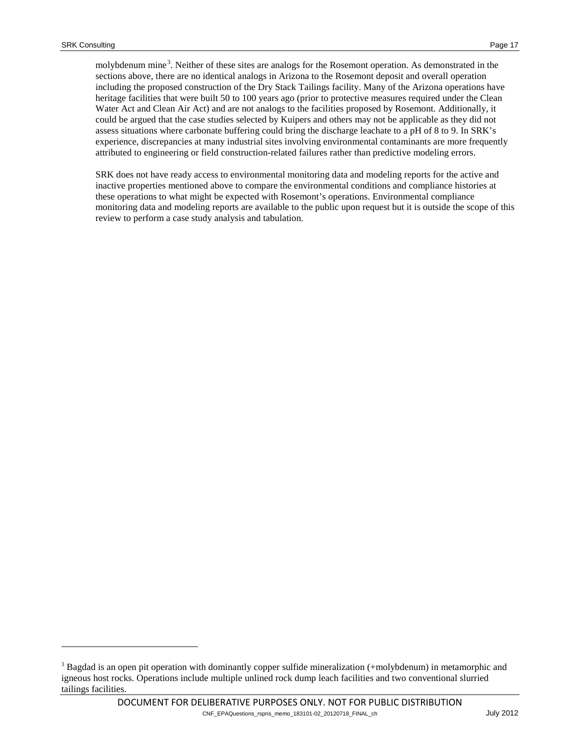-

molybdenum mine<sup>[3](#page-16-0)</sup>. Neither of these sites are analogs for the Rosemont operation. As demonstrated in the sections above, there are no identical analogs in Arizona to the Rosemont deposit and overall operation including the proposed construction of the Dry Stack Tailings facility. Many of the Arizona operations have heritage facilities that were built 50 to 100 years ago (prior to protective measures required under the Clean Water Act and Clean Air Act) and are not analogs to the facilities proposed by Rosemont. Additionally, it could be argued that the case studies selected by Kuipers and others may not be applicable as they did not assess situations where carbonate buffering could bring the discharge leachate to a pH of 8 to 9. In SRK's experience, discrepancies at many industrial sites involving environmental contaminants are more frequently attributed to engineering or field construction-related failures rather than predictive modeling errors.

SRK does not have ready access to environmental monitoring data and modeling reports for the active and inactive properties mentioned above to compare the environmental conditions and compliance histories at these operations to what might be expected with Rosemont's operations. Environmental compliance monitoring data and modeling reports are available to the public upon request but it is outside the scope of this review to perform a case study analysis and tabulation.

<span id="page-16-0"></span><sup>&</sup>lt;sup>3</sup> Bagdad is an open pit operation with dominantly copper sulfide mineralization (+molybdenum) in metamorphic and igneous host rocks. Operations include multiple unlined rock dump leach facilities and two conventional slurried tailings facilities.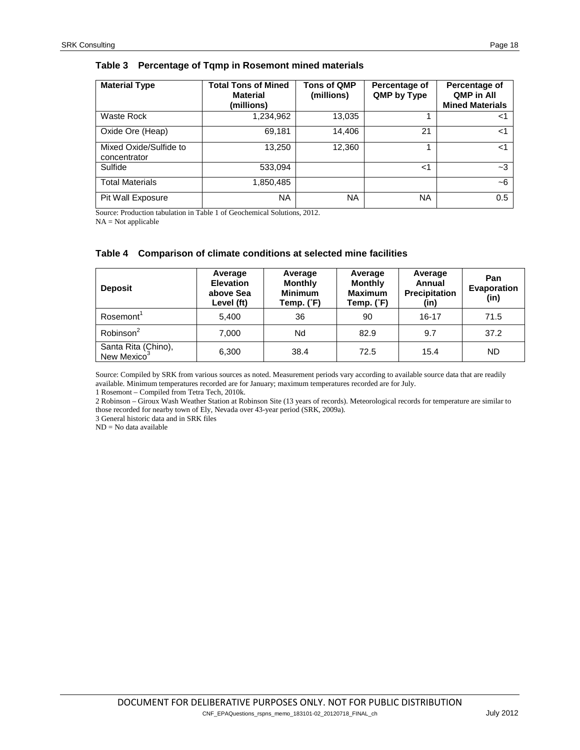#### <span id="page-17-0"></span>**Table 3 Percentage of Tqmp in Rosemont mined materials**

| <b>Material Type</b>                   | <b>Total Tons of Mined</b><br><b>Material</b><br>(millions) | <b>Tons of QMP</b><br>(millions) | Percentage of<br>QMP by Type | Percentage of<br><b>QMP in All</b><br><b>Mined Materials</b> |
|----------------------------------------|-------------------------------------------------------------|----------------------------------|------------------------------|--------------------------------------------------------------|
| Waste Rock                             | 1,234,962                                                   | 13,035                           |                              | <1                                                           |
| Oxide Ore (Heap)                       | 69,181                                                      | 14.406                           | 21                           | <1                                                           |
| Mixed Oxide/Sulfide to<br>concentrator | 13,250                                                      | 12,360                           |                              | $<$ 1                                                        |
| Sulfide                                | 533,094                                                     |                                  | $<$ 1                        | $-3$                                                         |
| <b>Total Materials</b>                 | 1,850,485                                                   |                                  |                              | $-6$                                                         |
| Pit Wall Exposure                      | <b>NA</b>                                                   | <b>NA</b>                        | <b>NA</b>                    | 0.5                                                          |

Source: Production tabulation in Table 1 of Geochemical Solutions, 2012.

 $NA = Not$  applicable

#### <span id="page-17-1"></span>**Table 4 Comparison of climate conditions at selected mine facilities**

| <b>Deposit</b>                                 | Average<br>Average<br><b>Elevation</b><br><b>Monthly</b><br><b>Minimum</b><br>above Sea<br>Level (ft)<br>Temp. (°F) |      | Average<br><b>Monthly</b><br><b>Maximum</b><br>Temp. (°F) | Average<br>Annual<br><b>Precipitation</b><br>(in) | Pan<br>Evaporation<br>(in) |  |
|------------------------------------------------|---------------------------------------------------------------------------------------------------------------------|------|-----------------------------------------------------------|---------------------------------------------------|----------------------------|--|
| Rosemont <sup>1</sup>                          | 5.400                                                                                                               | 36   | 90                                                        | $16 - 17$                                         | 71.5                       |  |
| Robinson <sup>2</sup>                          | 7,000                                                                                                               | Nd   | 82.9                                                      | 9.7                                               | 37.2                       |  |
| Santa Rita (Chino),<br>New Mexico <sup>3</sup> | 6,300                                                                                                               | 38.4 | 72.5                                                      | 15.4                                              | ND                         |  |

Source: Compiled by SRK from various sources as noted. Measurement periods vary according to available source data that are readily available. Minimum temperatures recorded are for January; maximum temperatures recorded are for July.

1 Rosemont – Compiled from Tetra Tech, 2010k.

2 Robinson – Giroux Wash Weather Station at Robinson Site (13 years of records). Meteorological records for temperature are similar to those recorded for nearby town of Ely, Nevada over 43-year period (SRK, 2009a).

3 General historic data and in SRK files

ND = No data available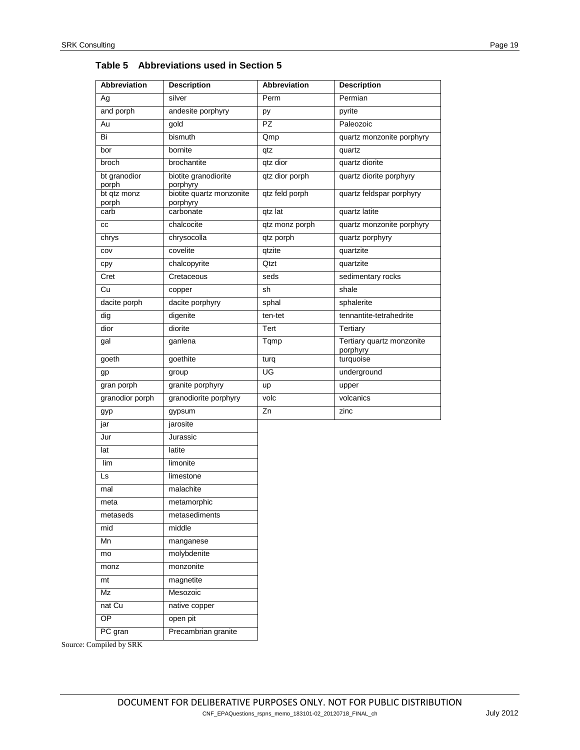| <b>Abbreviation</b>   | <b>Description</b>               | <b>Abbreviation</b> | <b>Description</b>                    |
|-----------------------|----------------------------------|---------------------|---------------------------------------|
| Ag                    | silver                           | Perm                | Permian                               |
| and porph             | andesite porphyry                | py                  | pyrite                                |
| Au                    | gold                             | $\overline{PZ}$     | Paleozoic                             |
| Bi                    | bismuth                          | Qmp                 | quartz monzonite porphyry             |
| bor                   | bornite                          | qtz                 | quartz                                |
| broch                 | brochantite                      | qtz dior            | quartz diorite                        |
| bt granodior<br>porph | biotite granodiorite<br>porphyry | qtz dior porph      | quartz diorite porphyry               |
| bt qtz monz           | biotite quartz monzonite         | qtz feld porph      | quartz feldspar porphyry              |
| porph<br>carb         | porphyry<br>carbonate            | qtz lat             | quartz latite                         |
| cc                    | chalcocite                       | qtz monz porph      | quartz monzonite porphyry             |
| chrys                 | chrysocolla                      | qtz porph           | quartz porphyry                       |
| COV                   | covelite                         | qtzite              | quartzite                             |
| cpy                   | chalcopyrite                     | Qtzt                | quartzite                             |
| Cret                  | Cretaceous                       | seds                |                                       |
|                       |                                  |                     | sedimentary rocks                     |
| Cu                    | copper                           | sh                  | shale                                 |
| dacite porph          | dacite porphyry                  | sphal               | sphalerite                            |
| dig                   | digenite                         | ten-tet             | tennantite-tetrahedrite               |
| dior                  | diorite                          | Tert                | Tertiary                              |
| gal                   | ganlena                          | Tqmp                | Tertiary quartz monzonite<br>porphyry |
| goeth                 | goethite                         | turq                | turquoise                             |
| gp                    | group                            | UG                  | underground                           |
| gran porph            | granite porphyry                 | up                  | upper                                 |
| granodior porph       | granodiorite porphyry            | volc                | volcanics                             |
| gyp                   | gypsum                           | Zn                  | zinc                                  |
| jar                   | jarosite                         |                     |                                       |
| Jur                   | Jurassic                         |                     |                                       |
| lat                   | latite                           |                     |                                       |
| lim                   | limonite                         |                     |                                       |
| Ls                    | limestone                        |                     |                                       |
| mal                   | malachite                        |                     |                                       |
| meta                  | metamorphic                      |                     |                                       |
| metaseds              | metasediments                    |                     |                                       |
| mid                   | middle                           |                     |                                       |
| Mn                    | manganese                        |                     |                                       |
| mo                    | molybdenite                      |                     |                                       |
| monz                  | monzonite                        |                     |                                       |
| mt                    | magnetite                        |                     |                                       |
| Mz                    | Mesozoic                         |                     |                                       |
| nat Cu                | native copper                    |                     |                                       |
| $\overline{OP}$       | open pit                         |                     |                                       |
| PC gran               | Precambrian granite              |                     |                                       |

<span id="page-18-0"></span>

|  | Table 5 Abbreviations used in Section 5 |  |  |
|--|-----------------------------------------|--|--|
|--|-----------------------------------------|--|--|

Source: Compiled by SRK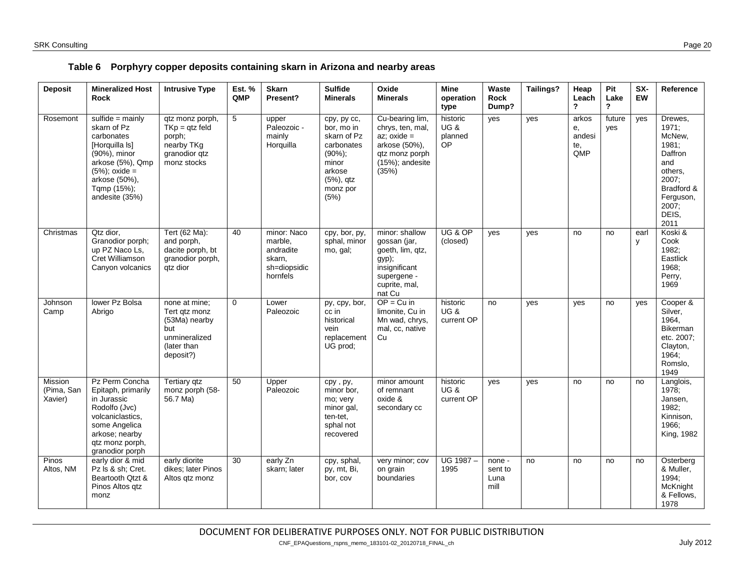|  | Table 6 Porphyry copper deposits containing skarn in Arizona and nearby areas |  |  |  |  |
|--|-------------------------------------------------------------------------------|--|--|--|--|
|--|-------------------------------------------------------------------------------|--|--|--|--|

<span id="page-19-0"></span>

| <b>Deposit</b>                   | <b>Mineralized Host</b><br><b>Rock</b>                                                                                                                                      | <b>Intrusive Type</b>                                                                               | <b>Est. %</b><br>QMP | <b>Skarn</b><br>Present?                                                  | <b>Sulfide</b><br><b>Minerals</b>                                                                                           | Oxide<br><b>Minerals</b>                                                                                               | <b>Mine</b><br>operation<br>type             | Waste<br>Rock<br>Dump?            | <b>Tailings?</b> | Heap<br>Leach<br>?                  | Pit<br>Lake<br>$\overline{\mathbf{?}}$ | SX-<br>EW | Reference                                                                                                                      |
|----------------------------------|-----------------------------------------------------------------------------------------------------------------------------------------------------------------------------|-----------------------------------------------------------------------------------------------------|----------------------|---------------------------------------------------------------------------|-----------------------------------------------------------------------------------------------------------------------------|------------------------------------------------------------------------------------------------------------------------|----------------------------------------------|-----------------------------------|------------------|-------------------------------------|----------------------------------------|-----------|--------------------------------------------------------------------------------------------------------------------------------|
| Rosemont                         | sulfide = $mainly$<br>skarn of Pz<br>carbonates<br>[Horquilla Is]<br>(90%), minor<br>arkose (5%), Qmp<br>$(5%)$ ; oxide =<br>arkose (50%),<br>Tgmp (15%);<br>andesite (35%) | qtz monz porph,<br>$TKp = qtz$ feld<br>porph;<br>nearby TKg<br>granodior gtz<br>monz stocks         | 5                    | upper<br>Paleozoic -<br>mainly<br>Horquilla                               | cpy, py cc,<br>bor, mo in<br>skarn of Pz<br>carbonates<br>$(90\%)$ ;<br>minor<br>arkose<br>$(5%)$ , qtz<br>monz por<br>(5%) | Cu-bearing lim,<br>chrys, ten, mal,<br>$az$ ; $oxide =$<br>arkose (50%),<br>qtz monz porph<br>(15%); andesite<br>(35%) | historic<br><b>UG &amp;</b><br>planned<br>OP | yes                               | yes              | arkos<br>е,<br>andesi<br>te,<br>QMP | future<br>yes                          | yes       | Drewes,<br>1971;<br>McNew,<br>1981;<br>Daffron<br>and<br>others.<br>2007;<br>Bradford &<br>Ferguson,<br>2007:<br>DEIS,<br>2011 |
| Christmas                        | Qtz dior.<br>Granodior porph;<br>up PZ Naco Ls,<br>Cret Williamson<br>Canyon volcanics                                                                                      | Tert (62 Ma):<br>and porph.<br>dacite porph, bt<br>granodior porph,<br>qtz dior                     | 40                   | minor: Naco<br>marble,<br>andradite<br>skarn.<br>sh=diopsidic<br>hornfels | cpy, bor, py,<br>sphal, minor<br>mo, gal;                                                                                   | minor: shallow<br>gossan (jar,<br>goeth, lim, qtz,<br>gyp);<br>insignificant<br>supergene -<br>cuprite, mal,<br>nat Cu | UG & OP<br>(closed)                          | yes                               | yes              | no                                  | no                                     | earl<br>y | Koski &<br>Cook<br>1982;<br>Eastlick<br>1968:<br>Perry,<br>1969                                                                |
| Johnson<br>Camp                  | lower Pz Bolsa<br>Abrigo                                                                                                                                                    | none at mine;<br>Tert qtz monz<br>(53Ma) nearby<br>but<br>unmineralized<br>(later than<br>deposit?) | $\mathbf 0$          | Lower<br>Paleozoic                                                        | py, cpy, bor,<br>cc in<br>historical<br>vein<br>replacement<br>UG prod;                                                     | $OP = Cu$ in<br>limonite, Cu in<br>Mn wad, chrys,<br>mal, cc, native<br>Cu                                             | historic<br><b>UG &amp;</b><br>current OP    | no                                | yes              | yes                                 | no                                     | yes       | Cooper &<br>Silver,<br>1964,<br><b>Bikerman</b><br>etc. 2007;<br>Clayton,<br>1964,<br>Romslo,<br>1949                          |
| Mission<br>(Pima, San<br>Xavier) | Pz Perm Concha<br>Epitaph, primarily<br>in Jurassic<br>Rodolfo (Jvc)<br>volcaniclastics,<br>some Angelica<br>arkose; nearby<br>qtz monz porph,<br>granodior porph           | Tertiary qtz<br>monz porph (58-<br>56.7 Ma)                                                         | 50                   | Upper<br>Paleozoic                                                        | cpy, py,<br>minor bor.<br>mo; very<br>minor gal,<br>ten-tet,<br>sphal not<br>recovered                                      | minor amount<br>of remnant<br>oxide &<br>secondary cc                                                                  | historic<br><b>UG &amp;</b><br>current OP    | ves                               | yes              | no                                  | no                                     | no        | Langlois,<br>1978;<br>Jansen,<br>1982;<br>Kinnison,<br>1966:<br>King, 1982                                                     |
| Pinos<br>Altos, NM               | early dior & mid<br>Pz Is & sh: Cret.<br>Beartooth Qtzt &<br>Pinos Altos qtz<br>monz                                                                                        | early diorite<br>dikes; later Pinos<br>Altos qtz monz                                               | 30                   | early Zn<br>skarn; later                                                  | cpy, sphal,<br>py, mt, Bi,<br>bor, cov                                                                                      | very minor; cov<br>on grain<br>boundaries                                                                              | UG 1987-<br>1995                             | none -<br>sent to<br>Luna<br>mill | no               | no                                  | no                                     | no        | Osterberg<br>& Muller,<br>1994:<br>McKnight<br>& Fellows.<br>1978                                                              |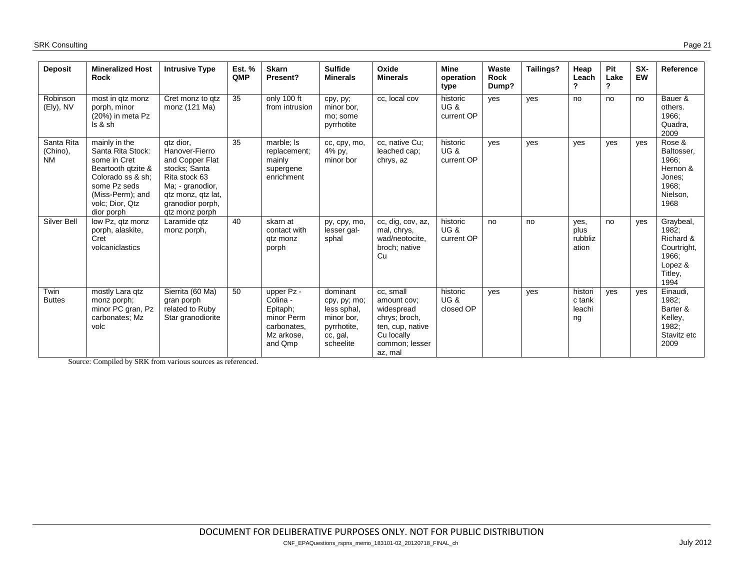| Deposit                             | <b>Mineralized Host</b><br><b>Rock</b>                                                                                                                             | <b>Intrusive Type</b>                                                                                                                                            | <b>Est. %</b><br>QMP | <b>Skarn</b><br>Present?                                                                 | <b>Sulfide</b><br><b>Minerals</b>                                                             | Oxide<br><b>Minerals</b>                                                                                               | <b>Mine</b><br>operation<br>type          | Waste<br><b>Rock</b><br>Dump? | Tailings? | Heap<br>Leach<br>?                | Pit<br>Lake<br>? | SX-<br><b>EW</b> | Reference                                                                             |
|-------------------------------------|--------------------------------------------------------------------------------------------------------------------------------------------------------------------|------------------------------------------------------------------------------------------------------------------------------------------------------------------|----------------------|------------------------------------------------------------------------------------------|-----------------------------------------------------------------------------------------------|------------------------------------------------------------------------------------------------------------------------|-------------------------------------------|-------------------------------|-----------|-----------------------------------|------------------|------------------|---------------------------------------------------------------------------------------|
| Robinson<br>(Ely), NV               | most in gtz monz<br>porph, minor<br>(20%) in meta Pz<br>Is & sh                                                                                                    | Cret monz to gtz<br>monz (121 Ma)                                                                                                                                | 35                   | only 100 ft<br>from intrusion                                                            | cpy, py;<br>minor bor.<br>mo; some<br>pyrrhotite                                              | cc, local cov                                                                                                          | historic<br><b>UG &amp;</b><br>current OP | yes                           | yes       | no                                | no               | no               | Bauer &<br>others.<br>1966;<br>Quadra,<br>2009                                        |
| Santa Rita<br>(Chino),<br><b>NM</b> | mainly in the<br>Santa Rita Stock:<br>some in Cret<br>Beartooth gtzite &<br>Colorado ss & sh:<br>some Pz seds<br>(Miss-Perm); and<br>volc; Dior, Qtz<br>dior porph | qtz dior,<br>Hanover-Fierro<br>and Copper Flat<br>stocks: Santa<br>Rita stock 63<br>Ma; - granodior,<br>gtz monz, gtz lat,<br>granodior porph,<br>gtz monz porph | 35                   | marble; Is<br>replacement:<br>mainly<br>supergene<br>enrichment                          | cc, cpy, mo,<br>4% py,<br>minor bor                                                           | cc, native Cu;<br>leached cap;<br>chrys, az                                                                            | historic<br>UG &<br>current OP            | yes                           | ves       | yes                               | yes              | yes              | Rose &<br>Baltosser,<br>1966:<br>Hernon &<br>Jones;<br>1968;<br>Nielson.<br>1968      |
| <b>Silver Bell</b>                  | low Pz, gtz monz<br>porph, alaskite,<br>Cret<br>volcaniclastics                                                                                                    | Laramide qtz<br>monz porph,                                                                                                                                      | 40                   | skarn at<br>contact with<br>gtz monz<br>porph                                            | py, cpy, mo,<br>lesser gal-<br>sphal                                                          | cc, dig, cov, az,<br>mal, chrys,<br>wad/neotocite.<br>broch; native<br>Cu                                              | historic<br><b>UG &amp;</b><br>current OP | no                            | no        | yes,<br>plus<br>rubbliz<br>ation  | no               | yes              | Graybeal,<br>1982;<br>Richard &<br>Courtright,<br>1966:<br>Lopez &<br>Titley,<br>1994 |
| Twin<br><b>Buttes</b>               | mostly Lara qtz<br>monz porph;<br>minor PC gran, Pz<br>carbonates; Mz<br>volc                                                                                      | Sierrita (60 Ma)<br>gran porph<br>related to Ruby<br>Star granodiorite                                                                                           | 50                   | upper Pz -<br>Colina -<br>Epitaph;<br>minor Perm<br>carbonates,<br>Mz arkose.<br>and Qmp | dominant<br>cpy, py; mo;<br>less sphal,<br>minor bor.<br>pyrrhotite,<br>cc, gal,<br>scheelite | cc, small<br>amount cov:<br>widespread<br>chrys; broch,<br>ten, cup, native<br>Cu locally<br>common; lesser<br>az, mal | historic<br>UG&<br>closed OP              | yes                           | ves       | histori<br>c tank<br>leachi<br>ng | yes              | yes              | Einaudi,<br>1982:<br>Barter &<br>Kelley,<br>1982;<br>Stavitz etc<br>2009              |

Source: Compiled by SRK from various sources as referenced.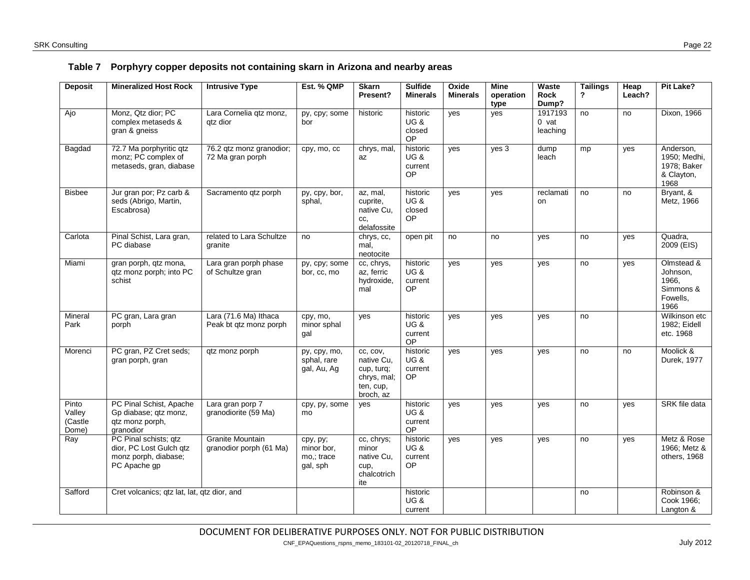<span id="page-21-0"></span>

| <b>Deposit</b>                      | <b>Mineralized Host Rock</b>                                                             | <b>Intrusive Type</b>                              | Est. % QMP                                       | <b>Skarn</b><br>Present?                                                      | <b>Sulfide</b><br><b>Minerals</b>                   | Oxide<br><b>Minerals</b> | <b>Mine</b><br>operation | Waste<br><b>Rock</b>           | <b>Tailings</b><br>$\mathbf{r}$ | <b>Heap</b><br>Leach? | Pit Lake?                                                        |
|-------------------------------------|------------------------------------------------------------------------------------------|----------------------------------------------------|--------------------------------------------------|-------------------------------------------------------------------------------|-----------------------------------------------------|--------------------------|--------------------------|--------------------------------|---------------------------------|-----------------------|------------------------------------------------------------------|
|                                     |                                                                                          |                                                    |                                                  |                                                                               |                                                     |                          | type                     | Dump?                          |                                 |                       |                                                                  |
| Ajo                                 | Monz, Qtz dior; PC<br>complex metaseds &<br>gran & gneiss                                | Lara Cornelia qtz monz,<br>gtz dior                | py, cpy; some<br>bor                             | historic                                                                      | historic<br><b>UG &amp;</b><br>closed<br>OP         | yes                      | yes                      | 1917193<br>$0$ vat<br>leaching | no                              | no                    | Dixon, 1966                                                      |
| Bagdad                              | 72.7 Ma porphyritic qtz<br>monz; PC complex of<br>metaseds, gran, diabase                | 76.2 qtz monz granodior;<br>72 Ma gran porph       | cpy, mo, cc                                      | chrys, mal,<br>az                                                             | historic<br><b>UG &amp;</b><br>current<br><b>OP</b> | ves                      | yes 3                    | dump<br>leach                  | mp                              | ves                   | Anderson,<br>1950; Medhi,<br>1978; Baker<br>& Clayton,<br>1968   |
| <b>Bisbee</b>                       | Jur gran por; Pz carb &<br>seds (Abrigo, Martin,<br>Escabrosa)                           | Sacramento qtz porph                               | py, cpy, bor,<br>sphal,                          | az, mal,<br>cuprite,<br>native Cu.<br>CC,<br>delafossite                      | historic<br><b>UG &amp;</b><br>closed<br>OP         | yes                      | yes                      | reclamati<br>on                | no                              | no                    | Bryant, &<br>Metz, 1966                                          |
| Carlota                             | Pinal Schist, Lara gran,<br>PC diabase                                                   | related to Lara Schultze<br>granite                | no                                               | chrys, cc,<br>mal,<br>neotocite                                               | open pit                                            | no                       | no                       | yes                            | no                              | yes                   | Quadra,<br>2009 (EIS)                                            |
| Miami                               | gran porph, qtz mona,<br>qtz monz porph; into PC<br>schist                               | Lara gran porph phase<br>of Schultze gran          | py, cpy; some<br>bor, cc, mo                     | cc, chrys,<br>az, ferric<br>hydroxide,<br>mal                                 | historic<br><b>UG &amp;</b><br>current<br>OP        | yes                      | yes                      | yes                            | no                              | yes                   | Olmstead &<br>Johnson,<br>1966.<br>Simmons &<br>Fowells,<br>1966 |
| Mineral<br>Park                     | PC gran, Lara gran<br>porph                                                              | Lara (71.6 Ma) Ithaca<br>Peak bt qtz monz porph    | cpy, mo,<br>minor sphal<br>gal                   | ves                                                                           | historic<br><b>UG &amp;</b><br>current<br>OP        | yes                      | yes                      | yes                            | no                              |                       | Wilkinson etc<br>1982; Eidell<br>etc. 1968                       |
| Morenci                             | PC gran, PZ Cret seds;<br>gran porph, gran                                               | gtz monz porph                                     | py, cpy, mo,<br>sphal, rare<br>gal, Au, Ag       | cc. cov.<br>native Cu,<br>cup, turq;<br>chrys, mal;<br>ten, cup,<br>broch, az | historic<br><b>UG &amp;</b><br>current<br><b>OP</b> | yes                      | ves                      | ves                            | no                              | no                    | Moolick &<br>Durek, 1977                                         |
| Pinto<br>Valley<br>(Castle<br>Dome) | PC Pinal Schist, Apache<br>Gp diabase; qtz monz,<br>qtz monz porph,<br>granodior         | Lara gran porp 7<br>granodiorite (59 Ma)           | cpy, py, some<br>mo                              | ves                                                                           | historic<br><b>UG &amp;</b><br>current<br><b>OP</b> | yes                      | yes                      | yes                            | no                              | yes                   | SRK file data                                                    |
| Ray                                 | PC Pinal schists; qtz<br>dior, PC Lost Gulch gtz<br>monz porph, diabase;<br>PC Apache gp | <b>Granite Mountain</b><br>granodior porph (61 Ma) | cpy, py;<br>minor bor.<br>mo,; trace<br>gal, sph | cc, chrys;<br>minor<br>native Cu,<br>cup,<br>chalcotrich<br>ite               | historic<br><b>UG &amp;</b><br>current<br>OP        | ves                      | yes                      | yes                            | no                              | yes                   | Metz & Rose<br>1966; Metz &<br>others, 1968                      |
| Safford                             | Cret volcanics; gtz lat, lat, gtz dior, and                                              |                                                    |                                                  |                                                                               | historic<br><b>UG &amp;</b><br>current              |                          |                          |                                | no                              |                       | Robinson &<br>Cook 1966;<br>Langton &                            |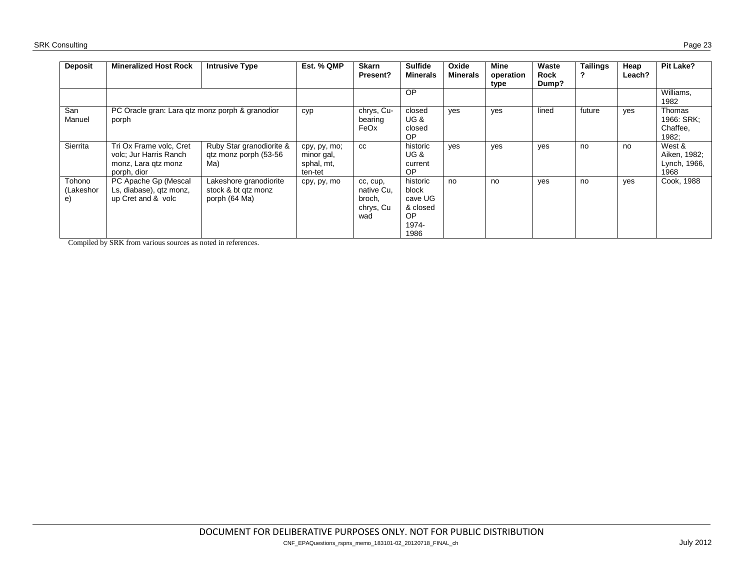| <b>Deposit</b>            | <b>Mineralized Host Rock</b>                                                            | <b>Intrusive Type</b>                                          | Est. % QMP                                          | <b>Skarn</b><br>Present?                             | <b>Sulfide</b><br><b>Minerals</b>                                | Oxide<br><b>Minerals</b> | Mine<br>operation<br>type | Waste<br><b>Rock</b><br>Dump? | <b>Tailings</b> | Heap<br>Leach? | <b>Pit Lake?</b>                               |
|---------------------------|-----------------------------------------------------------------------------------------|----------------------------------------------------------------|-----------------------------------------------------|------------------------------------------------------|------------------------------------------------------------------|--------------------------|---------------------------|-------------------------------|-----------------|----------------|------------------------------------------------|
|                           |                                                                                         |                                                                |                                                     |                                                      | OP                                                               |                          |                           |                               |                 |                | Williams.<br>1982                              |
| San<br>Manuel             | PC Oracle gran: Lara gtz monz porph & granodior<br>porph                                |                                                                | cyp                                                 | chrys, Cu-<br>bearing<br>FeOx                        | closed<br><b>UG &amp;</b><br>closed<br>OP                        | yes                      | ves                       | lined                         | future          | yes            | Thomas<br>1966: SRK:<br>Chaffee,<br>1982;      |
| Sierrita                  | Tri Ox Frame volc, Cret<br>volc; Jur Harris Ranch<br>monz, Lara gtz monz<br>porph, dior | Ruby Star granodiorite &<br>qtz monz porph (53-56<br>Ma)       | cpy, py, mo;<br>minor gal,<br>sphal, mt,<br>ten-tet | <b>CC</b>                                            | historic<br><b>UG &amp;</b><br>current<br>OP.                    | ves                      | yes                       | yes                           | no              | no             | West &<br>Aiken, 1982;<br>Lynch, 1966,<br>1968 |
| Tohono<br>(Lakeshor<br>e) | PC Apache Gp (Mescal<br>Ls, diabase), qtz monz,<br>up Cret and & volc                   | Lakeshore granodiorite<br>stock & bt qtz monz<br>porph (64 Ma) | cpy, py, mo                                         | cc, cup,<br>native Cu,<br>broch,<br>chrys, Cu<br>wad | historic<br>block<br>cave UG<br>& closed<br>OP.<br>1974-<br>1986 | no                       | no                        | yes                           | no              | yes            | Cook, 1988                                     |

Compiled by SRK from various sources as noted in references.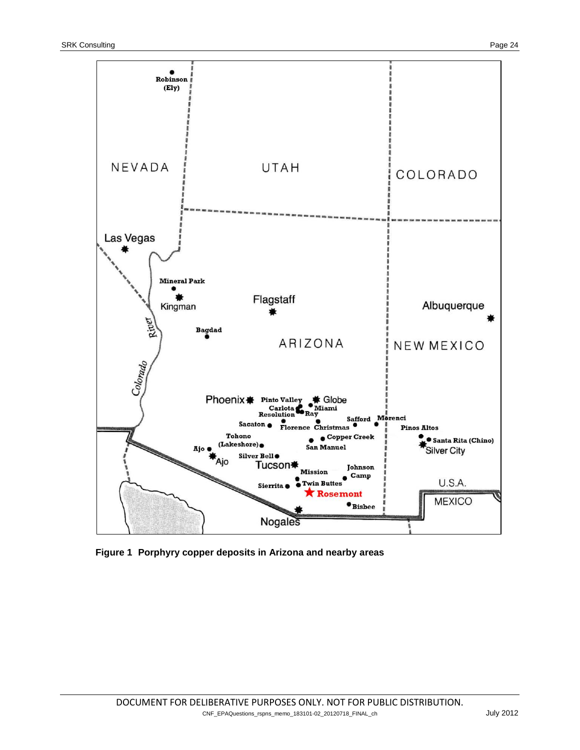

<span id="page-23-0"></span>**Figure 1 Porphyry copper deposits in Arizona and nearby areas**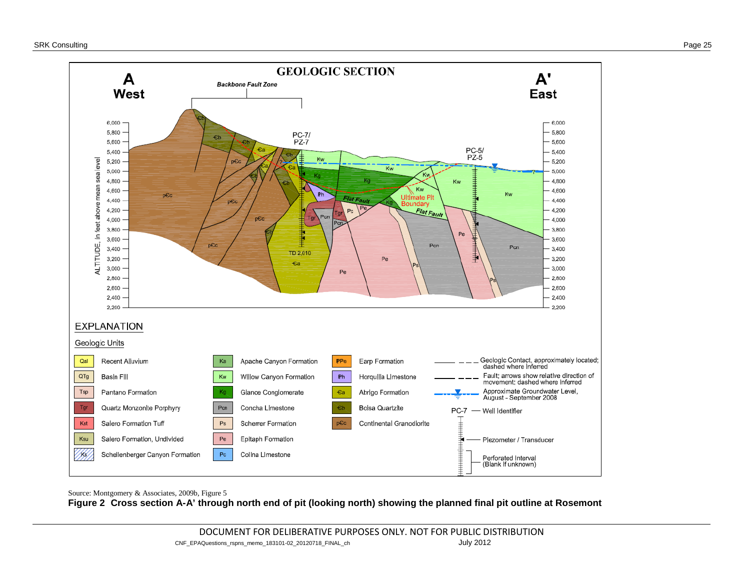

<span id="page-24-0"></span>Source: Montgomery & Associates, 2009b, Figure 5 **Figure 2 Cross section A-A' through north end of pit (looking north) showing the planned final pit outline at Rosemont**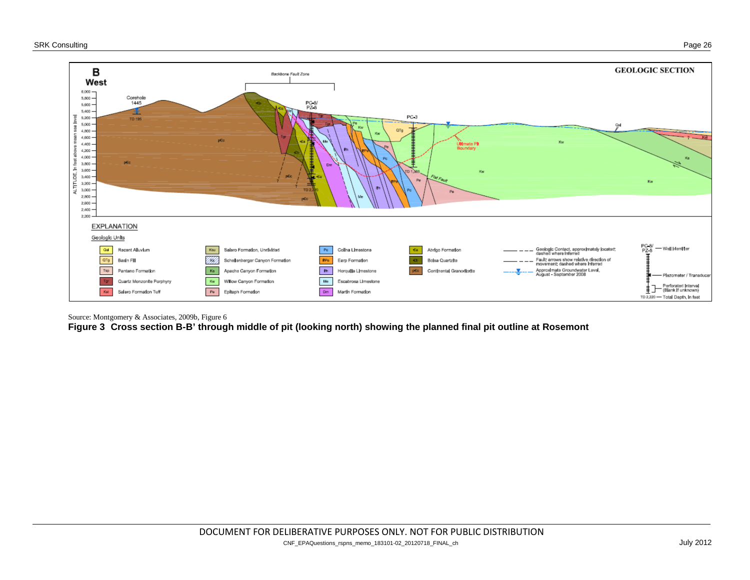

Source: Montgomery & Associates, 2009b, Figure 6

**Figure 3 Cross section B-B' through middle of pit (looking north) showing the planned final pit outline at Rosemont**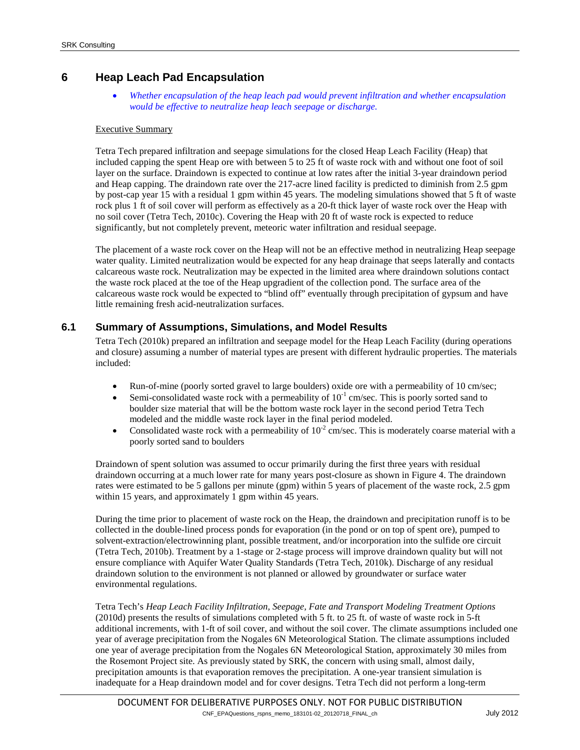# **6 Heap Leach Pad Encapsulation**

• *Whether encapsulation of the heap leach pad would prevent infiltration and whether encapsulation would be effective to neutralize heap leach seepage or discharge.*

#### Executive Summary

Tetra Tech prepared infiltration and seepage simulations for the closed Heap Leach Facility (Heap) that included capping the spent Heap ore with between 5 to 25 ft of waste rock with and without one foot of soil layer on the surface. Draindown is expected to continue at low rates after the initial 3-year draindown period and Heap capping. The draindown rate over the 217-acre lined facility is predicted to diminish from 2.5 gpm by post-cap year 15 with a residual 1 gpm within 45 years. The modeling simulations showed that 5 ft of waste rock plus 1 ft of soil cover will perform as effectively as a 20-ft thick layer of waste rock over the Heap with no soil cover (Tetra Tech, 2010c). Covering the Heap with 20 ft of waste rock is expected to reduce significantly, but not completely prevent, meteoric water infiltration and residual seepage.

The placement of a waste rock cover on the Heap will not be an effective method in neutralizing Heap seepage water quality. Limited neutralization would be expected for any heap drainage that seeps laterally and contacts calcareous waste rock. Neutralization may be expected in the limited area where draindown solutions contact the waste rock placed at the toe of the Heap upgradient of the collection pond. The surface area of the calcareous waste rock would be expected to "blind off" eventually through precipitation of gypsum and have little remaining fresh acid-neutralization surfaces.

#### **6.1 Summary of Assumptions, Simulations, and Model Results**

Tetra Tech (2010k) prepared an infiltration and seepage model for the Heap Leach Facility (during operations and closure) assuming a number of material types are present with different hydraulic properties. The materials included:

- Run-of-mine (poorly sorted gravel to large boulders) oxide ore with a permeability of 10 cm/sec;
- Semi-consolidated waste rock with a permeability of  $10^{-1}$  cm/sec. This is poorly sorted sand to boulder size material that will be the bottom waste rock layer in the second period Tetra Tech modeled and the middle waste rock layer in the final period modeled.
- Consolidated waste rock with a permeability of  $10^{-2}$  cm/sec. This is moderately coarse material with a poorly sorted sand to boulders

Draindown of spent solution was assumed to occur primarily during the first three years with residual draindown occurring at a much lower rate for many years post-closure as shown i[n Figure 4.](#page-27-0) The draindown rates were estimated to be 5 gallons per minute (gpm) within 5 years of placement of the waste rock, 2.5 gpm within 15 years, and approximately 1 gpm within 45 years.

During the time prior to placement of waste rock on the Heap, the draindown and precipitation runoff is to be collected in the double-lined process ponds for evaporation (in the pond or on top of spent ore), pumped to solvent-extraction/electrowinning plant, possible treatment, and/or incorporation into the sulfide ore circuit (Tetra Tech, 2010b). Treatment by a 1-stage or 2-stage process will improve draindown quality but will not ensure compliance with Aquifer Water Quality Standards (Tetra Tech, 2010k). Discharge of any residual draindown solution to the environment is not planned or allowed by groundwater or surface water environmental regulations.

Tetra Tech's *Heap Leach Facility Infiltration, Seepage, Fate and Transport Modeling Treatment Options* (2010d) presents the results of simulations completed with 5 ft. to 25 ft. of waste of waste rock in 5-ft additional increments, with 1-ft of soil cover, and without the soil cover. The climate assumptions included one year of average precipitation from the Nogales 6N Meteorological Station. The climate assumptions included one year of average precipitation from the Nogales 6N Meteorological Station, approximately 30 miles from the Rosemont Project site. As previously stated by SRK, the concern with using small, almost daily, precipitation amounts is that evaporation removes the precipitation. A one-year transient simulation is inadequate for a Heap draindown model and for cover designs. Tetra Tech did not perform a long-term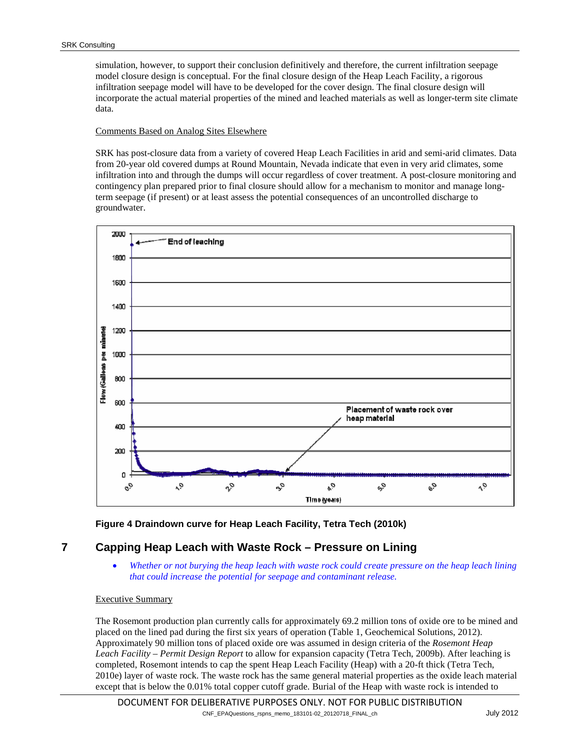simulation, however, to support their conclusion definitively and therefore, the current infiltration seepage model closure design is conceptual. For the final closure design of the Heap Leach Facility, a rigorous infiltration seepage model will have to be developed for the cover design. The final closure design will incorporate the actual material properties of the mined and leached materials as well as longer-term site climate data.

#### Comments Based on Analog Sites Elsewhere

SRK has post-closure data from a variety of covered Heap Leach Facilities in arid and semi-arid climates. Data from 20-year old covered dumps at Round Mountain, Nevada indicate that even in very arid climates, some infiltration into and through the dumps will occur regardless of cover treatment. A post-closure monitoring and contingency plan prepared prior to final closure should allow for a mechanism to monitor and manage longterm seepage (if present) or at least assess the potential consequences of an uncontrolled discharge to groundwater.



#### **Figure 4 Draindown curve for Heap Leach Facility, Tetra Tech (2010k)**

# <span id="page-27-0"></span>**7 Capping Heap Leach with Waste Rock – Pressure on Lining**

• *Whether or not burying the heap leach with waste rock could create pressure on the heap leach lining that could increase the potential for seepage and contaminant release.*

#### Executive Summary

The Rosemont production plan currently calls for approximately 69.2 million tons of oxide ore to be mined and placed on the lined pad during the first six years of operation (Table 1, Geochemical Solutions, 2012). Approximately 90 million tons of placed oxide ore was assumed in design criteria of the *Rosemont Heap Leach Facility – Permit Design Report* to allow for expansion capacity (Tetra Tech, 2009b). After leaching is completed, Rosemont intends to cap the spent Heap Leach Facility (Heap) with a 20-ft thick (Tetra Tech, 2010e) layer of waste rock. The waste rock has the same general material properties as the oxide leach material except that is below the 0.01% total copper cutoff grade. Burial of the Heap with waste rock is intended to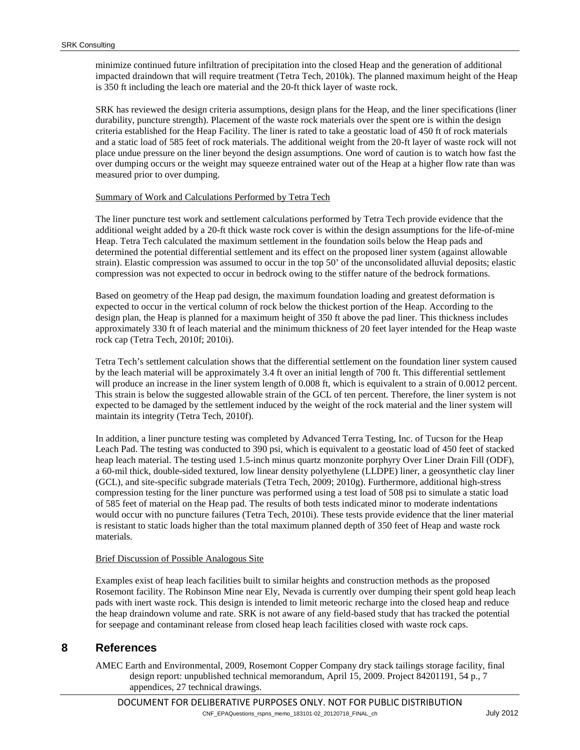minimize continued future infiltration of precipitation into the closed Heap and the generation of additional impacted draindown that will require treatment (Tetra Tech, 2010k). The planned maximum height of the Heap is 350 ft including the leach ore material and the 20-ft thick layer of waste rock.

SRK has reviewed the design criteria assumptions, design plans for the Heap, and the liner specifications (liner durability, puncture strength). Placement of the waste rock materials over the spent ore is within the design criteria established for the Heap Facility. The liner is rated to take a geostatic load of 450 ft of rock materials and a static load of 585 feet of rock materials. The additional weight from the 20-ft layer of waste rock will not place undue pressure on the liner beyond the design assumptions. One word of caution is to watch how fast the over dumping occurs or the weight may squeeze entrained water out of the Heap at a higher flow rate than was measured prior to over dumping.

#### Summary of Work and Calculations Performed by Tetra Tech

The liner puncture test work and settlement calculations performed by Tetra Tech provide evidence that the additional weight added by a 20-ft thick waste rock cover is within the design assumptions for the life-of-mine Heap. Tetra Tech calculated the maximum settlement in the foundation soils below the Heap pads and determined the potential differential settlement and its effect on the proposed liner system (against allowable strain). Elastic compression was assumed to occur in the top 50' of the unconsolidated alluvial deposits; elastic compression was not expected to occur in bedrock owing to the stiffer nature of the bedrock formations.

Based on geometry of the Heap pad design, the maximum foundation loading and greatest deformation is expected to occur in the vertical column of rock below the thickest portion of the Heap. According to the design plan, the Heap is planned for a maximum height of 350 ft above the pad liner. This thickness includes approximately 330 ft of leach material and the minimum thickness of 20 feet layer intended for the Heap waste rock cap (Tetra Tech, 2010f; 2010i).

Tetra Tech's settlement calculation shows that the differential settlement on the foundation liner system caused by the leach material will be approximately 3.4 ft over an initial length of 700 ft. This differential settlement will produce an increase in the liner system length of 0.008 ft, which is equivalent to a strain of 0.0012 percent. This strain is below the suggested allowable strain of the GCL of ten percent. Therefore, the liner system is not expected to be damaged by the settlement induced by the weight of the rock material and the liner system will maintain its integrity (Tetra Tech, 2010f).

In addition, a liner puncture testing was completed by Advanced Terra Testing, Inc. of Tucson for the Heap Leach Pad. The testing was conducted to 390 psi, which is equivalent to a geostatic load of 450 feet of stacked heap leach material. The testing used 1.5-inch minus quartz monzonite porphyry Over Liner Drain Fill (ODF), a 60-mil thick, double-sided textured, low linear density polyethylene (LLDPE) liner, a geosynthetic clay liner (GCL), and site-specific subgrade materials (Tetra Tech, 2009; 2010g). Furthermore, additional high-stress compression testing for the liner puncture was performed using a test load of 508 psi to simulate a static load of 585 feet of material on the Heap pad. The results of both tests indicated minor to moderate indentations would occur with no puncture failures (Tetra Tech, 2010i). These tests provide evidence that the liner material is resistant to static loads higher than the total maximum planned depth of 350 feet of Heap and waste rock materials.

#### Brief Discussion of Possible Analogous Site

Examples exist of heap leach facilities built to similar heights and construction methods as the proposed Rosemont facility. The Robinson Mine near Ely, Nevada is currently over dumping their spent gold heap leach pads with inert waste rock. This design is intended to limit meteoric recharge into the closed heap and reduce the heap draindown volume and rate. SRK is not aware of any field-based study that has tracked the potential for seepage and contaminant release from closed heap leach facilities closed with waste rock caps.

# <span id="page-28-0"></span>**8 References**

AMEC Earth and Environmental, 2009, Rosemont Copper Company dry stack tailings storage facility, final design report: unpublished technical memorandum, April 15, 2009. Project 84201191, 54 p., 7 appendices, 27 technical drawings.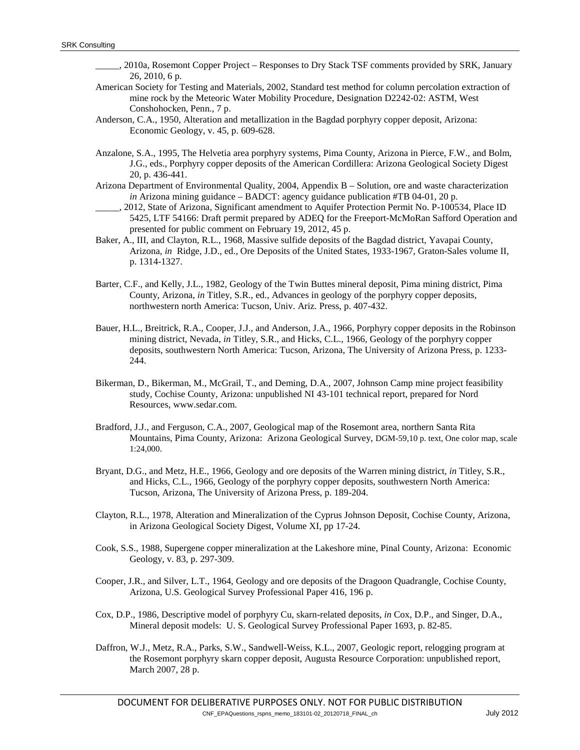- \_\_\_\_\_, 2010a, Rosemont Copper Project Responses to Dry Stack TSF comments provided by SRK, January 26, 2010, 6 p.
- American Society for Testing and Materials, 2002, Standard test method for column percolation extraction of mine rock by the Meteoric Water Mobility Procedure, Designation D2242-02: ASTM, West Conshohocken, Penn., 7 p.
- Anderson, C.A., 1950, Alteration and metallization in the Bagdad porphyry copper deposit, Arizona: Economic Geology, v. 45, p. 609-628.
- Anzalone, S.A., 1995, The Helvetia area porphyry systems, Pima County, Arizona in Pierce, F.W., and Bolm, J.G., eds., Porphyry copper deposits of the American Cordillera: Arizona Geological Society Digest 20, p. 436-441.
- Arizona Department of Environmental Quality, 2004, Appendix B Solution, ore and waste characterization *in* Arizona mining guidance – BADCT: agency guidance publication #TB 04-01, 20 p.
- \_\_\_\_\_, 2012, State of Arizona, Significant amendment to Aquifer Protection Permit No. P-100534, Place ID 5425, LTF 54166: Draft permit prepared by ADEQ for the Freeport-McMoRan Safford Operation and presented for public comment on February 19, 2012, 45 p.
- Baker, A., III, and Clayton, R.L., 1968, Massive sulfide deposits of the Bagdad district, Yavapai County, Arizona, *in* Ridge, J.D., ed., Ore Deposits of the United States, 1933-1967, Graton-Sales volume II, p. 1314-1327.
- Barter, C.F., and Kelly, J.L., 1982, Geology of the Twin Buttes mineral deposit, Pima mining district, Pima County, Arizona, *in* Titley, S.R., ed., Advances in geology of the porphyry copper deposits, northwestern north America: Tucson, Univ. Ariz. Press, p. 407-432.
- Bauer, H.L., Breitrick, R.A., Cooper, J.J., and Anderson, J.A., 1966, Porphyry copper deposits in the Robinson mining district, Nevada, *in* Titley, S.R., and Hicks, C.L., 1966, Geology of the porphyry copper deposits, southwestern North America: Tucson, Arizona, The University of Arizona Press, p. 1233- 244.
- Bikerman, D., Bikerman, M., McGrail, T., and Deming, D.A., 2007, Johnson Camp mine project feasibility study, Cochise County, Arizona: unpublished NI 43-101 technical report, prepared for Nord Resources, www.sedar.com.
- Bradford, J.J., and Ferguson, C.A., 2007, Geological map of the Rosemont area, northern Santa Rita Mountains, Pima County, Arizona: Arizona Geological Survey, DGM-59,10 p. text, One color map, scale 1:24,000.
- Bryant, D.G., and Metz, H.E., 1966, Geology and ore deposits of the Warren mining district, *in* Titley, S.R., and Hicks, C.L., 1966, Geology of the porphyry copper deposits, southwestern North America: Tucson, Arizona, The University of Arizona Press, p. 189-204.
- Clayton, R.L., 1978, Alteration and Mineralization of the Cyprus Johnson Deposit, Cochise County, Arizona, in Arizona Geological Society Digest, Volume XI, pp 17-24.
- Cook, S.S., 1988, Supergene copper mineralization at the Lakeshore mine, Pinal County, Arizona: Economic Geology, v. 83, p. 297-309.
- Cooper, J.R., and Silver, L.T., 1964, Geology and ore deposits of the Dragoon Quadrangle, Cochise County, Arizona, U.S. Geological Survey Professional Paper 416, 196 p.
- Cox, D.P., 1986, Descriptive model of porphyry Cu, skarn-related deposits, *in* Cox, D.P., and Singer, D.A., Mineral deposit models: U. S. Geological Survey Professional Paper 1693, p. 82-85.
- Daffron, W.J., Metz, R.A., Parks, S.W., Sandwell-Weiss, K.L., 2007, Geologic report, relogging program at the Rosemont porphyry skarn copper deposit, Augusta Resource Corporation: unpublished report, March 2007, 28 p.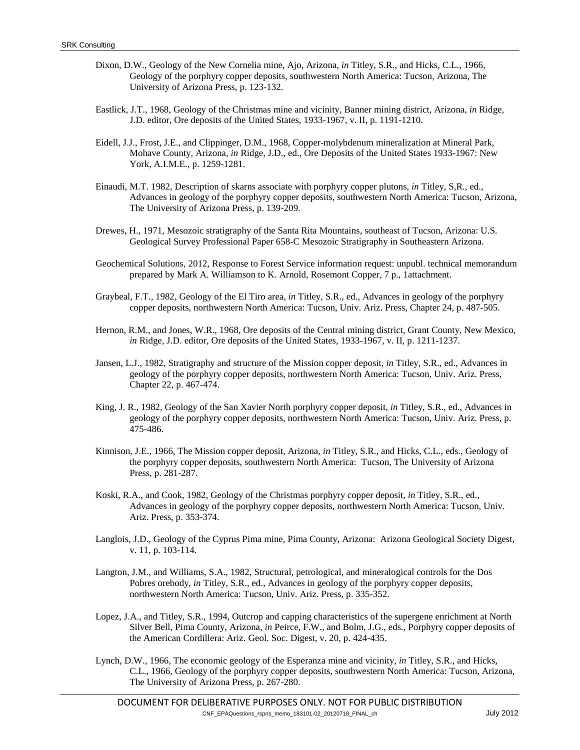- Dixon, D.W., Geology of the New Cornelia mine, Ajo, Arizona, *in* Titley, S.R., and Hicks, C.L., 1966, Geology of the porphyry copper deposits, southwestern North America: Tucson, Arizona, The University of Arizona Press, p. 123-132.
- Eastlick, J.T., 1968, Geology of the Christmas mine and vicinity, Banner mining district, Arizona, *in* Ridge, J.D. editor, Ore deposits of the United States, 1933-1967, v. II, p. 1191-1210.
- Eidell, J.J., Frost, J.E., and Clippinger, D.M., 1968, Copper-molybdenum mineralization at Mineral Park, Mohave County, Arizona, *in* Ridge, J.D., ed., Ore Deposits of the United States 1933-1967: New York, A.I.M.E., p. 1259-1281.
- Einaudi, M.T. 1982, Description of skarns associate with porphyry copper plutons, *in* Titley, S,R., ed., Advances in geology of the porphyry copper deposits, southwestern North America: Tucson, Arizona, The University of Arizona Press, p. 139-209.
- Drewes, H., 1971, Mesozoic stratigraphy of the Santa Rita Mountains, southeast of Tucson, Arizona: U.S. Geological Survey Professional Paper 658-C Mesozoic Stratigraphy in Southeastern Arizona.
- Geochemical Solutions, 2012, Response to Forest Service information request: unpubl. technical memorandum prepared by Mark A. Williamson to K. Arnold, Rosemont Copper, 7 p., 1attachment.
- Graybeal, F.T., 1982, Geology of the El Tiro area, *in* Titley, S.R., ed., Advances in geology of the porphyry copper deposits, northwestern North America: Tucson, Univ. Ariz. Press, Chapter 24, p. 487-505.
- Hernon, R.M., and Jones, W.R., 1968, Ore deposits of the Central mining district, Grant County, New Mexico, *in* Ridge, J.D. editor, Ore deposits of the United States, 1933-1967, v. II, p. 1211-1237.
- Jansen, L.J., 1982, Stratigraphy and structure of the Mission copper deposit, *in* Titley, S.R., ed., Advances in geology of the porphyry copper deposits, northwestern North America: Tucson, Univ. Ariz. Press, Chapter 22, p. 467-474.
- King, J. R., 1982, Geology of the San Xavier North porphyry copper deposit, *in* Titley, S.R., ed., Advances in geology of the porphyry copper deposits, northwestern North America: Tucson, Univ. Ariz. Press, p. 475-486.
- Kinnison, J.E., 1966, The Mission copper deposit, Arizona, *in* Titley, S.R., and Hicks, C.L., eds., Geology of the porphyry copper deposits, southwestern North America: Tucson, The University of Arizona Press, p. 281-287.
- Koski, R.A., and Cook, 1982, Geology of the Christmas porphyry copper deposit, *in* Titley, S.R., ed., Advances in geology of the porphyry copper deposits, northwestern North America: Tucson, Univ. Ariz. Press, p. 353-374.
- Langlois, J.D., Geology of the Cyprus Pima mine, Pima County, Arizona: Arizona Geological Society Digest, v. 11, p. 103-114.
- Langton, J.M., and Williams, S.A., 1982, Structural, petrological, and mineralogical controls for the Dos Pobres orebody, *in* Titley, S.R., ed., Advances in geology of the porphyry copper deposits, northwestern North America: Tucson, Univ. Ariz. Press, p. 335-352.
- Lopez, J.A., and Titley, S.R., 1994, Outcrop and capping characteristics of the supergene enrichment at North Silver Bell, Pima County, Arizona, *in* Peirce, F.W., and Bolm, J.G., eds., Porphyry copper deposits of the American Cordillera: Ariz. Geol. Soc. Digest, v. 20, p. 424-435.
- Lynch, D.W., 1966, The economic geology of the Esperanza mine and vicinity, *in* Titley, S.R., and Hicks, C.L., 1966, Geology of the porphyry copper deposits, southwestern North America: Tucson, Arizona, The University of Arizona Press, p. 267-280.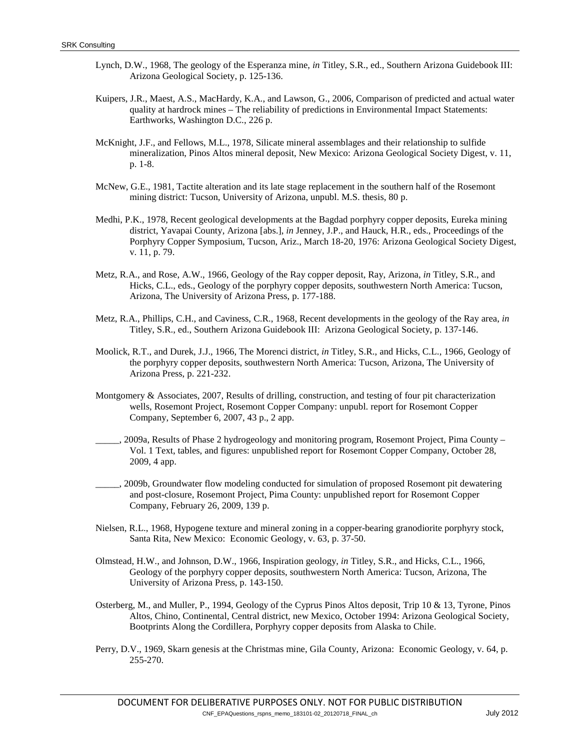- Lynch, D.W., 1968, The geology of the Esperanza mine, *in* Titley, S.R., ed., Southern Arizona Guidebook III: Arizona Geological Society, p. 125-136.
- Kuipers, J.R., Maest, A.S., MacHardy, K.A., and Lawson, G., 2006, Comparison of predicted and actual water quality at hardrock mines – The reliability of predictions in Environmental Impact Statements: Earthworks, Washington D.C., 226 p.
- McKnight, J.F., and Fellows, M.L., 1978, Silicate mineral assemblages and their relationship to sulfide mineralization, Pinos Altos mineral deposit, New Mexico: Arizona Geological Society Digest, v. 11, p. 1-8.
- McNew, G.E., 1981, Tactite alteration and its late stage replacement in the southern half of the Rosemont mining district: Tucson, University of Arizona, unpubl. M.S. thesis, 80 p.
- Medhi, P.K., 1978, Recent geological developments at the Bagdad porphyry copper deposits, Eureka mining district, Yavapai County, Arizona [abs.], *in* Jenney, J.P., and Hauck, H.R., eds., Proceedings of the Porphyry Copper Symposium, Tucson, Ariz., March 18-20, 1976: Arizona Geological Society Digest, v. 11, p. 79.
- Metz, R.A., and Rose, A.W., 1966, Geology of the Ray copper deposit, Ray, Arizona, *in* Titley, S.R., and Hicks, C.L., eds., Geology of the porphyry copper deposits, southwestern North America: Tucson, Arizona, The University of Arizona Press, p. 177-188.
- Metz, R.A., Phillips, C.H., and Caviness, C.R., 1968, Recent developments in the geology of the Ray area, *in* Titley, S.R., ed., Southern Arizona Guidebook III: Arizona Geological Society, p. 137-146.
- Moolick, R.T., and Durek, J.J., 1966, The Morenci district, *in* Titley, S.R., and Hicks, C.L., 1966, Geology of the porphyry copper deposits, southwestern North America: Tucson, Arizona, The University of Arizona Press, p. 221-232.
- Montgomery & Associates, 2007, Results of drilling, construction, and testing of four pit characterization wells, Rosemont Project, Rosemont Copper Company: unpubl. report for Rosemont Copper Company, September 6, 2007, 43 p., 2 app.
- \_\_\_\_\_, 2009a, Results of Phase 2 hydrogeology and monitoring program, Rosemont Project, Pima County Vol. 1 Text, tables, and figures: unpublished report for Rosemont Copper Company, October 28, 2009, 4 app.
- \_\_\_\_\_, 2009b, Groundwater flow modeling conducted for simulation of proposed Rosemont pit dewatering and post-closure, Rosemont Project, Pima County: unpublished report for Rosemont Copper Company, February 26, 2009, 139 p.
- Nielsen, R.L., 1968, Hypogene texture and mineral zoning in a copper-bearing granodiorite porphyry stock, Santa Rita, New Mexico: Economic Geology, v. 63, p. 37-50.
- Olmstead, H.W., and Johnson, D.W., 1966, Inspiration geology, *in* Titley, S.R., and Hicks, C.L., 1966, Geology of the porphyry copper deposits, southwestern North America: Tucson, Arizona, The University of Arizona Press, p. 143-150.
- Osterberg, M., and Muller, P., 1994, Geology of the Cyprus Pinos Altos deposit, Trip 10 & 13, Tyrone, Pinos Altos, Chino, Continental, Central district, new Mexico, October 1994: Arizona Geological Society, Bootprints Along the Cordillera, Porphyry copper deposits from Alaska to Chile.
- Perry, D.V., 1969, Skarn genesis at the Christmas mine, Gila County, Arizona: Economic Geology, v. 64, p. 255-270.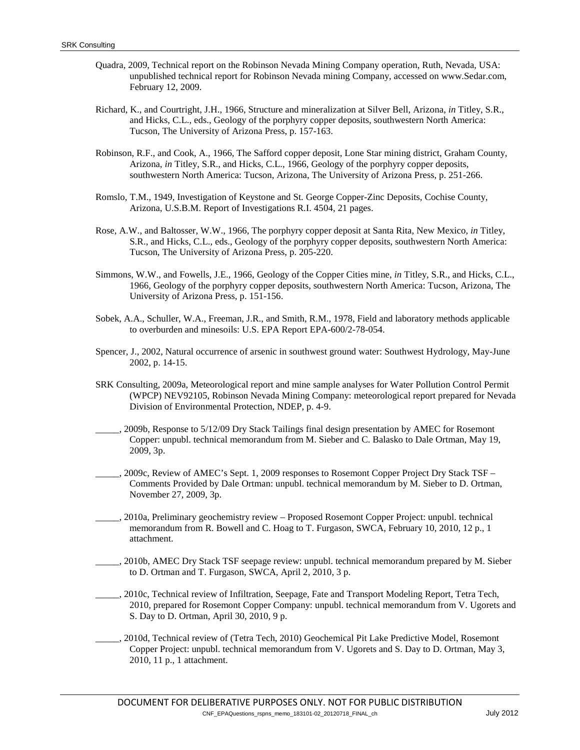- Quadra, 2009, Technical report on the Robinson Nevada Mining Company operation, Ruth, Nevada, USA: unpublished technical report for Robinson Nevada mining Company, accessed on www.Sedar.com, February 12, 2009.
- Richard, K., and Courtright, J.H., 1966, Structure and mineralization at Silver Bell, Arizona, *in* Titley, S.R., and Hicks, C.L., eds., Geology of the porphyry copper deposits, southwestern North America: Tucson, The University of Arizona Press, p. 157-163.
- Robinson, R.F., and Cook, A., 1966, The Safford copper deposit, Lone Star mining district, Graham County, Arizona, *in* Titley, S.R., and Hicks, C.L., 1966, Geology of the porphyry copper deposits, southwestern North America: Tucson, Arizona, The University of Arizona Press, p. 251-266.
- Romslo, T.M., 1949, Investigation of Keystone and St. George Copper-Zinc Deposits, Cochise County, Arizona, U.S.B.M. Report of Investigations R.I. 4504, 21 pages.
- Rose, A.W., and Baltosser, W.W., 1966, The porphyry copper deposit at Santa Rita, New Mexico, *in* Titley, S.R., and Hicks, C.L., eds., Geology of the porphyry copper deposits, southwestern North America: Tucson, The University of Arizona Press, p. 205-220.
- Simmons, W.W., and Fowells, J.E., 1966, Geology of the Copper Cities mine, *in* Titley, S.R., and Hicks, C.L., 1966, Geology of the porphyry copper deposits, southwestern North America: Tucson, Arizona, The University of Arizona Press, p. 151-156.
- Sobek, A.A., Schuller, W.A., Freeman, J.R., and Smith, R.M., 1978, Field and laboratory methods applicable to overburden and minesoils: U.S. EPA Report EPA-600/2-78-054.
- Spencer, J., 2002, Natural occurrence of arsenic in southwest ground water: Southwest Hydrology, May-June 2002, p. 14-15.
- SRK Consulting, 2009a, Meteorological report and mine sample analyses for Water Pollution Control Permit (WPCP) NEV92105, Robinson Nevada Mining Company: meteorological report prepared for Nevada Division of Environmental Protection, NDEP, p. 4-9.
- \_\_\_\_\_, 2009b, Response to 5/12/09 Dry Stack Tailings final design presentation by AMEC for Rosemont Copper: unpubl. technical memorandum from M. Sieber and C. Balasko to Dale Ortman, May 19, 2009, 3p.
- \_\_\_\_\_, 2009c, Review of AMEC's Sept. 1, 2009 responses to Rosemont Copper Project Dry Stack TSF Comments Provided by Dale Ortman: unpubl. technical memorandum by M. Sieber to D. Ortman, November 27, 2009, 3p.
- \_\_\_\_\_, 2010a, Preliminary geochemistry review Proposed Rosemont Copper Project: unpubl. technical memorandum from R. Bowell and C. Hoag to T. Furgason, SWCA, February 10, 2010, 12 p., 1 attachment.
- \_\_\_\_\_, 2010b, AMEC Dry Stack TSF seepage review: unpubl. technical memorandum prepared by M. Sieber to D. Ortman and T. Furgason, SWCA, April 2, 2010, 3 p.
- \_\_\_\_\_, 2010c, Technical review of Infiltration, Seepage, Fate and Transport Modeling Report, Tetra Tech, 2010, prepared for Rosemont Copper Company: unpubl. technical memorandum from V. Ugorets and S. Day to D. Ortman, April 30, 2010, 9 p.
- \_\_\_\_\_, 2010d, Technical review of (Tetra Tech, 2010) Geochemical Pit Lake Predictive Model, Rosemont Copper Project: unpubl. technical memorandum from V. Ugorets and S. Day to D. Ortman, May 3, 2010, 11 p., 1 attachment.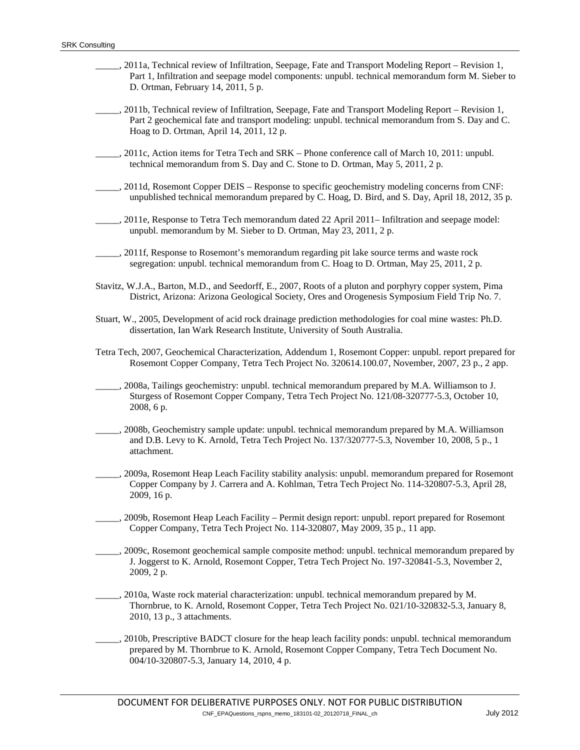- \_\_\_\_\_, 2011a, Technical review of Infiltration, Seepage, Fate and Transport Modeling Report Revision 1, Part 1, Infiltration and seepage model components: unpubl. technical memorandum form M. Sieber to D. Ortman, February 14, 2011, 5 p.
- \_\_\_\_\_, 2011b, Technical review of Infiltration, Seepage, Fate and Transport Modeling Report Revision 1, Part 2 geochemical fate and transport modeling: unpubl. technical memorandum from S. Day and C. Hoag to D. Ortman, April 14, 2011, 12 p.
- \_\_\_\_\_, 2011c, Action items for Tetra Tech and SRK Phone conference call of March 10, 2011: unpubl. technical memorandum from S. Day and C. Stone to D. Ortman, May 5, 2011, 2 p.
- \_\_\_\_\_, 2011d, Rosemont Copper DEIS Response to specific geochemistry modeling concerns from CNF: unpublished technical memorandum prepared by C. Hoag, D. Bird, and S. Day, April 18, 2012, 35 p.
- \_\_\_\_\_, 2011e, Response to Tetra Tech memorandum dated 22 April 2011– Infiltration and seepage model: unpubl. memorandum by M. Sieber to D. Ortman, May 23, 2011, 2 p.
- \_\_\_\_\_, 2011f, Response to Rosemont's memorandum regarding pit lake source terms and waste rock segregation: unpubl. technical memorandum from C. Hoag to D. Ortman, May 25, 2011, 2 p.
- Stavitz, W.J.A., Barton, M.D., and Seedorff, E., 2007, Roots of a pluton and porphyry copper system, Pima District, Arizona: Arizona Geological Society, Ores and Orogenesis Symposium Field Trip No. 7.
- Stuart, W., 2005, Development of acid rock drainage prediction methodologies for coal mine wastes: Ph.D. dissertation, Ian Wark Research Institute, University of South Australia.
- Tetra Tech, 2007, Geochemical Characterization, Addendum 1, Rosemont Copper: unpubl. report prepared for Rosemont Copper Company, Tetra Tech Project No. 320614.100.07, November, 2007, 23 p., 2 app.
- \_\_\_\_\_, 2008a, Tailings geochemistry: unpubl. technical memorandum prepared by M.A. Williamson to J. Sturgess of Rosemont Copper Company, Tetra Tech Project No. 121/08-320777-5.3, October 10, 2008, 6 p.
- \_\_\_\_\_, 2008b, Geochemistry sample update: unpubl. technical memorandum prepared by M.A. Williamson and D.B. Levy to K. Arnold, Tetra Tech Project No. 137/320777-5.3, November 10, 2008, 5 p., 1 attachment.
- \_\_\_\_\_, 2009a, Rosemont Heap Leach Facility stability analysis: unpubl. memorandum prepared for Rosemont Copper Company by J. Carrera and A. Kohlman, Tetra Tech Project No. 114-320807-5.3, April 28, 2009, 16 p.
- \_\_\_\_\_, 2009b, Rosemont Heap Leach Facility Permit design report: unpubl. report prepared for Rosemont Copper Company, Tetra Tech Project No. 114-320807, May 2009, 35 p., 11 app.
- \_\_\_\_\_, 2009c, Rosemont geochemical sample composite method: unpubl. technical memorandum prepared by J. Joggerst to K. Arnold, Rosemont Copper, Tetra Tech Project No. 197-320841-5.3, November 2, 2009, 2 p.
- \_\_\_\_\_, 2010a, Waste rock material characterization: unpubl. technical memorandum prepared by M. Thornbrue, to K. Arnold, Rosemont Copper, Tetra Tech Project No. 021/10-320832-5.3, January 8, 2010, 13 p., 3 attachments.
- \_\_\_\_\_, 2010b, Prescriptive BADCT closure for the heap leach facility ponds: unpubl. technical memorandum prepared by M. Thornbrue to K. Arnold, Rosemont Copper Company, Tetra Tech Document No. 004/10-320807-5.3, January 14, 2010, 4 p.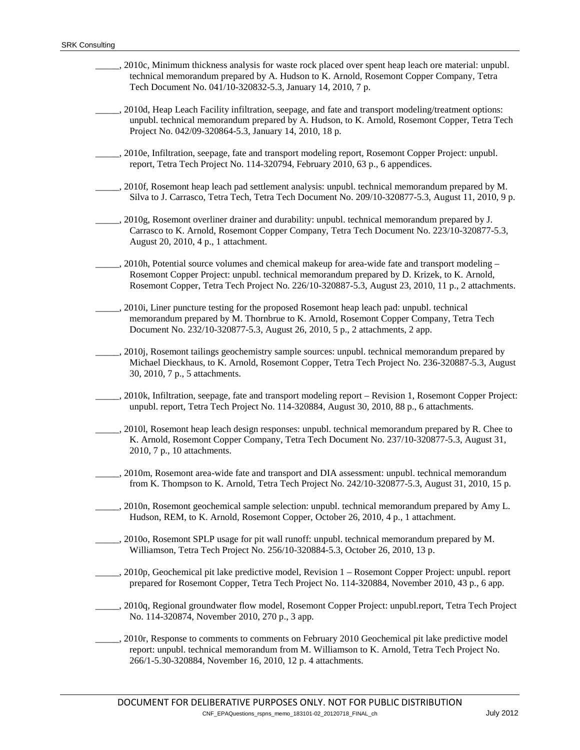\_\_\_\_\_, 2010c, Minimum thickness analysis for waste rock placed over spent heap leach ore material: unpubl. technical memorandum prepared by A. Hudson to K. Arnold, Rosemont Copper Company, Tetra Tech Document No. 041/10-320832-5.3, January 14, 2010, 7 p. \_\_\_\_\_, 2010d, Heap Leach Facility infiltration, seepage, and fate and transport modeling/treatment options: unpubl. technical memorandum prepared by A. Hudson, to K. Arnold, Rosemont Copper, Tetra Tech Project No. 042/09-320864-5.3, January 14, 2010, 18 p. \_\_\_\_\_, 2010e, Infiltration, seepage, fate and transport modeling report, Rosemont Copper Project: unpubl. report, Tetra Tech Project No. 114-320794, February 2010, 63 p., 6 appendices. \_\_\_\_\_, 2010f, Rosemont heap leach pad settlement analysis: unpubl. technical memorandum prepared by M. Silva to J. Carrasco, Tetra Tech, Tetra Tech Document No. 209/10-320877-5.3, August 11, 2010, 9 p. \_\_\_\_\_, 2010g, Rosemont overliner drainer and durability: unpubl. technical memorandum prepared by J. Carrasco to K. Arnold, Rosemont Copper Company, Tetra Tech Document No. 223/10-320877-5.3, August 20, 2010, 4 p., 1 attachment. \_\_\_\_, 2010h, Potential source volumes and chemical makeup for area-wide fate and transport modeling – Rosemont Copper Project: unpubl. technical memorandum prepared by D. Krizek, to K. Arnold, Rosemont Copper, Tetra Tech Project No. 226/10-320887-5.3, August 23, 2010, 11 p., 2 attachments. \_\_\_\_\_, 2010i, Liner puncture testing for the proposed Rosemont heap leach pad: unpubl. technical memorandum prepared by M. Thornbrue to K. Arnold, Rosemont Copper Company, Tetra Tech Document No. 232/10-320877-5.3, August 26, 2010, 5 p., 2 attachments, 2 app. \_\_\_\_\_, 2010j, Rosemont tailings geochemistry sample sources: unpubl. technical memorandum prepared by Michael Dieckhaus, to K. Arnold, Rosemont Copper, Tetra Tech Project No. 236-320887-5.3, August 30, 2010, 7 p., 5 attachments. \_\_\_\_\_, 2010k, Infiltration, seepage, fate and transport modeling report – Revision 1, Rosemont Copper Project: unpubl. report, Tetra Tech Project No. 114-320884, August 30, 2010, 88 p., 6 attachments. \_\_\_\_\_, 2010l, Rosemont heap leach design responses: unpubl. technical memorandum prepared by R. Chee to K. Arnold, Rosemont Copper Company, Tetra Tech Document No. 237/10-320877-5.3, August 31, 2010, 7 p., 10 attachments. \_\_\_\_\_, 2010m, Rosemont area-wide fate and transport and DIA assessment: unpubl. technical memorandum from K. Thompson to K. Arnold, Tetra Tech Project No. 242/10-320877-5.3, August 31, 2010, 15 p. \_\_\_\_\_, 2010n, Rosemont geochemical sample selection: unpubl. technical memorandum prepared by Amy L. Hudson, REM, to K. Arnold, Rosemont Copper, October 26, 2010, 4 p., 1 attachment. \_\_\_\_\_, 2010o, Rosemont SPLP usage for pit wall runoff: unpubl. technical memorandum prepared by M. Williamson, Tetra Tech Project No. 256/10-320884-5.3, October 26, 2010, 13 p. \_\_\_\_\_, 2010p, Geochemical pit lake predictive model, Revision 1 – Rosemont Copper Project: unpubl. report prepared for Rosemont Copper, Tetra Tech Project No. 114-320884, November 2010, 43 p., 6 app. \_\_\_\_\_, 2010q, Regional groundwater flow model, Rosemont Copper Project: unpubl.report, Tetra Tech Project No. 114-320874, November 2010, 270 p., 3 app. \_\_\_\_\_, 2010r, Response to comments to comments on February 2010 Geochemical pit lake predictive model report: unpubl. technical memorandum from M. Williamson to K. Arnold, Tetra Tech Project No. 266/1-5.30-320884, November 16, 2010, 12 p. 4 attachments.